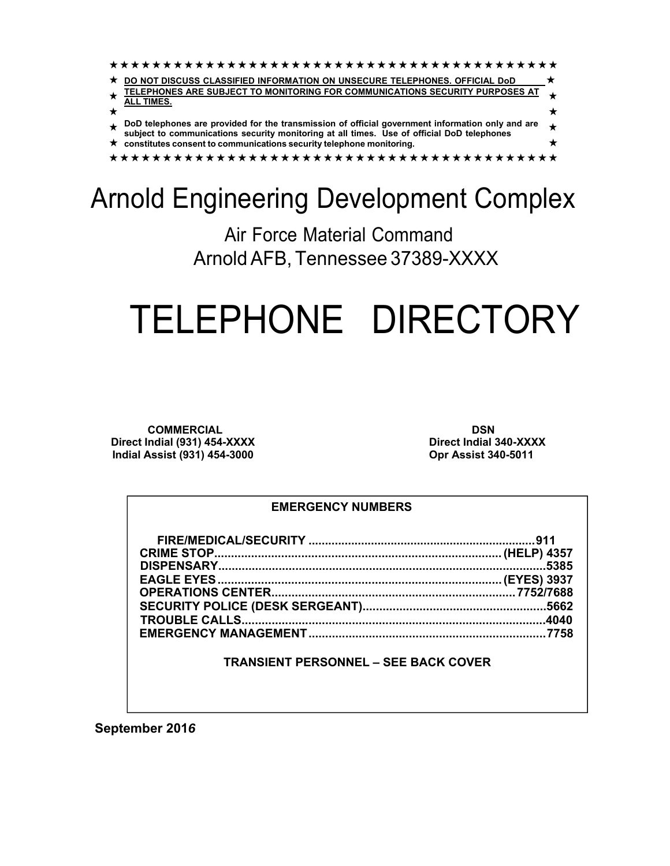| DO NOT DISCUSS CLASSIFIED INFORMATION ON UNSECURE TELEPHONES. OFFICIAL DoD                                                                                                                  |  |
|---------------------------------------------------------------------------------------------------------------------------------------------------------------------------------------------|--|
| TELEPHONES ARE SUBJECT TO MONITORING FOR COMMUNICATIONS SECURITY PURPOSES AT                                                                                                                |  |
| <b>ALL TIMES.</b>                                                                                                                                                                           |  |
| DoD telephones are provided for the transmission of official government information only and are subject to communications security monitoring at all times. Use of official DoD telephones |  |
| $\star$ constitutes consent to communications security telephone monitoring.                                                                                                                |  |
|                                                                                                                                                                                             |  |

# Arnold Engineering Development Complex

Air Force Material Command Arnold AFB, Tennessee 37389-XXXX

# TELEPHONE DIRECTORY

**COMMERCIAL Direct Indial (931) 454-XXXX Indial Assist (931) 454-3000**

**DSN Direct Indial 340-XXXX Opr Assist 340-5011**

### **EMERGENCY NUMBERS**

### **TRANSIENT PERSONNEL – SEE BACK COVER**

**September 201***6*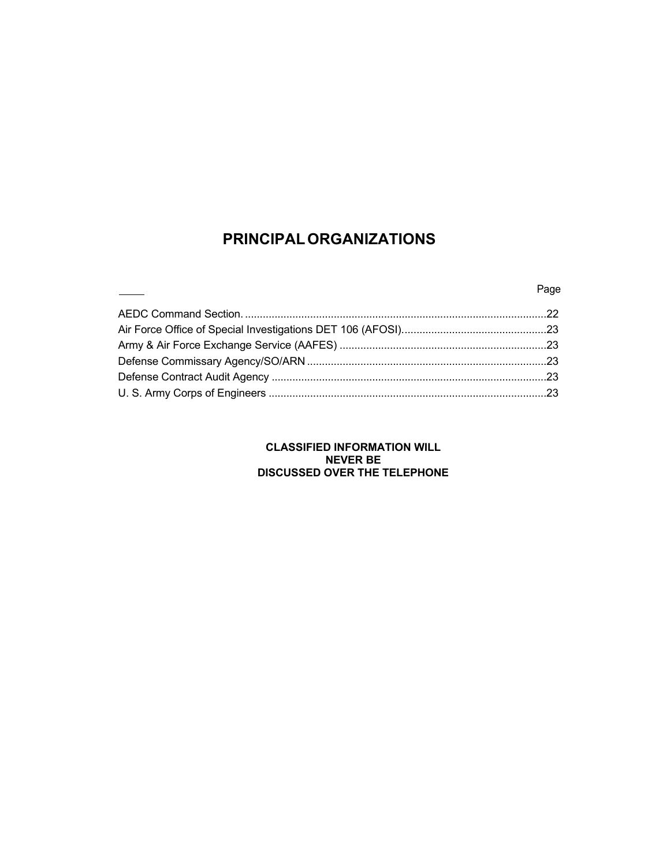### **PRINCIPAL ORGANIZATIONS**

### en and the second second second second second second second second second second second second second second s

### **CLASSIFIED INFORMATION WILL NEVER BE DISCUSSED OVER THE TELEPHONE**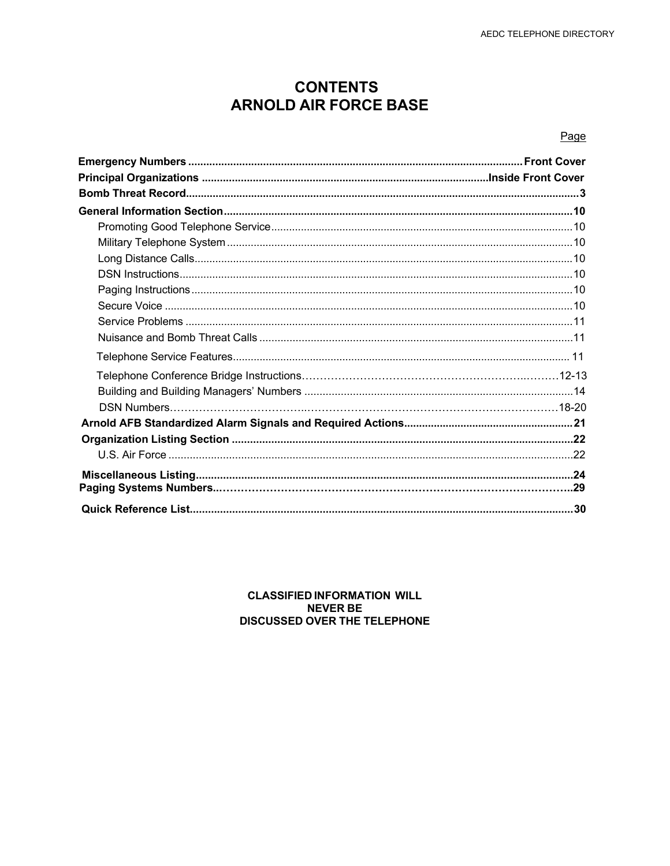### **CONTENTS ARNOLD AIR FORCE BASE**

### Page

### **CLASSIFIED INFORMATION WILL NEVER BE DISCUSSED OVER THE TELEPHONE**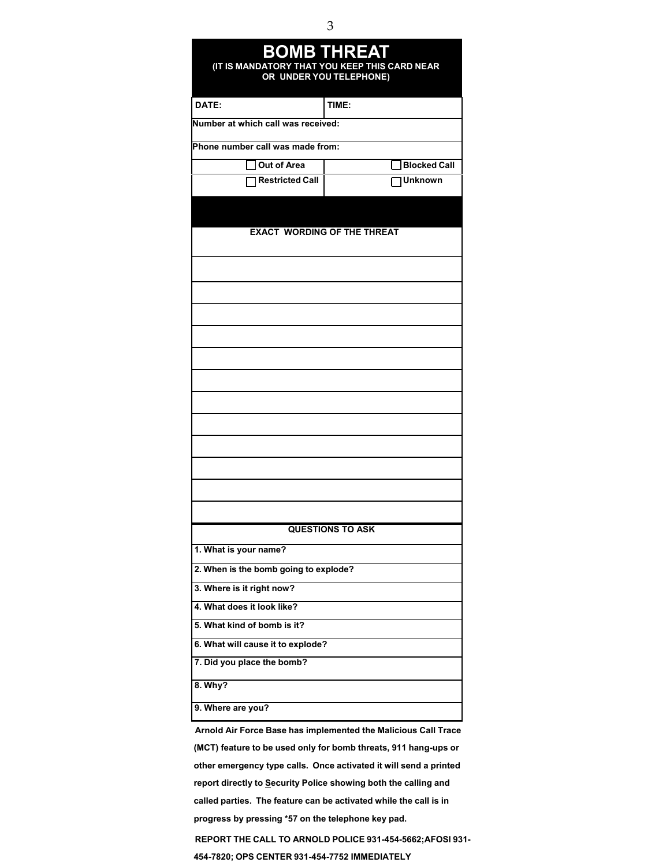| <b>BOMB THREAT</b><br>(IT IS MANDATORY THAT YOU KEEP THIS CARD NEAR<br>OR UNDER YOU TELEPHONE) |                                    |  |  |
|------------------------------------------------------------------------------------------------|------------------------------------|--|--|
| DATE:                                                                                          | TIME:                              |  |  |
| Number at which call was received:                                                             |                                    |  |  |
| Phone number call was made from:                                                               |                                    |  |  |
| Out of Area                                                                                    | <b>Blocked Call</b>                |  |  |
| <b>Restricted Call</b>                                                                         | <b>Unknown</b>                     |  |  |
|                                                                                                |                                    |  |  |
|                                                                                                | <b>EXACT WORDING OF THE THREAT</b> |  |  |
|                                                                                                |                                    |  |  |
|                                                                                                |                                    |  |  |
|                                                                                                |                                    |  |  |
|                                                                                                |                                    |  |  |
|                                                                                                |                                    |  |  |
|                                                                                                |                                    |  |  |
|                                                                                                |                                    |  |  |
|                                                                                                |                                    |  |  |
|                                                                                                | <b>QUESTIONS TO ASK</b>            |  |  |
| 1. What is your name?                                                                          |                                    |  |  |
| 2. When is the bomb going to explode?                                                          |                                    |  |  |
| 3. Where is it right now?                                                                      |                                    |  |  |
| 4. What does it look like?                                                                     |                                    |  |  |
| 5. What kind of bomb is it?                                                                    |                                    |  |  |
| 6. What will cause it to explode?                                                              |                                    |  |  |
| 7. Did you place the bomb?                                                                     |                                    |  |  |
| 8. Why?                                                                                        |                                    |  |  |
| 9. Where are you?                                                                              |                                    |  |  |
|                                                                                                |                                    |  |  |

**Arnold Air Force Base has implemented the Malicious Call Trace (MCT) feature to be used only for bomb threats, 911 hang-ups or other emergency type calls. Once activated it will send a printed report directly to Security Police showing both the calling and called parties. The feature can be activated while the call is in progress by pressing \*57 on the telephone key pad.**

**REPORT THE CALL TO ARNOLD POLICE 931-454-5662;AFOSI 931- 454-7820; OPS CENTER 931-454-7752 IMMEDIATELY**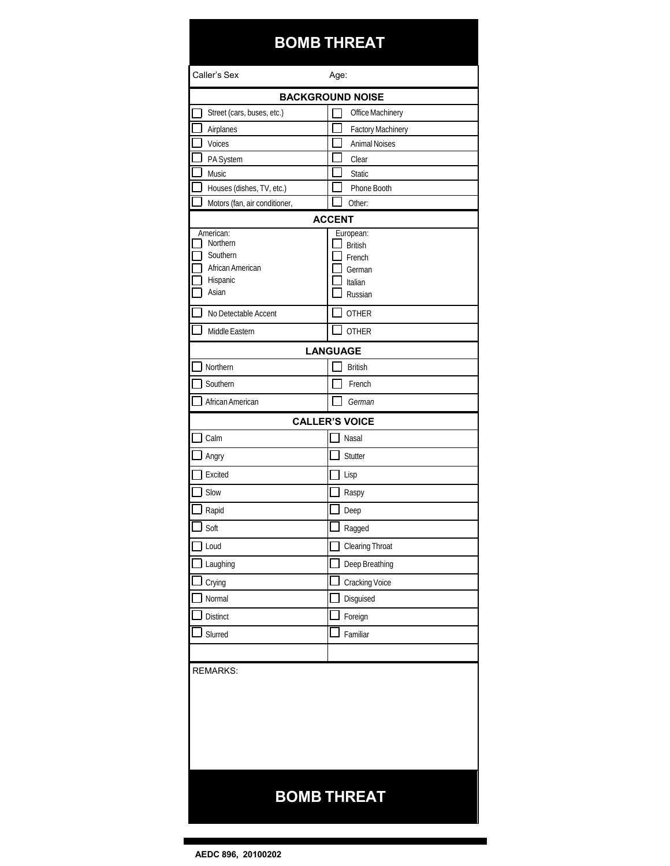### **BOMB THREAT**

| Caller's Sex                  | Age:                    |  |
|-------------------------------|-------------------------|--|
|                               | <b>BACKGROUND NOISE</b> |  |
| Street (cars, buses, etc.)    | Office Machinery        |  |
| Airplanes                     | Factory Machinery       |  |
| Voices                        | <b>Animal Noises</b>    |  |
| PA System                     | Clear                   |  |
| Music                         | <b>Static</b>           |  |
| Houses (dishes, TV, etc.)     | Phone Booth             |  |
| Motors (fan, air conditioner, | Other:<br><b>ACCENT</b> |  |
| American:                     | European:               |  |
| Northern                      | <b>British</b>          |  |
| Southern<br>African American  | French<br>German        |  |
| Hispanic                      | Italian                 |  |
| Asian                         | Russian                 |  |
| No Detectable Accent          | <b>OTHER</b>            |  |
| Middle Eastern                | <b>OTHER</b>            |  |
|                               | <b>LANGUAGE</b>         |  |
| Northern                      | <b>British</b>          |  |
| Southern                      | French                  |  |
| African American              | German                  |  |
|                               | <b>CALLER'S VOICE</b>   |  |
| Calm                          | Nasal                   |  |
| Angry                         | Stutter                 |  |
| Excited                       | Lisp                    |  |
| Slow                          | Raspy                   |  |
| Rapid                         | Deep                    |  |
| Soft                          | Ragged                  |  |
| Loud                          | <b>Clearing Throat</b>  |  |
| Laughing                      | Deep Breathing          |  |
| Crying                        | Cracking Voice          |  |
| Normal                        | Disguised               |  |
| <b>Distinct</b>               | Foreign                 |  |
| Slurred                       | Familiar                |  |
|                               |                         |  |
| <b>REMARKS:</b>               |                         |  |
|                               |                         |  |
|                               |                         |  |
|                               |                         |  |
|                               |                         |  |
|                               |                         |  |
|                               |                         |  |
| <b>BOMB THREAT</b>            |                         |  |
|                               |                         |  |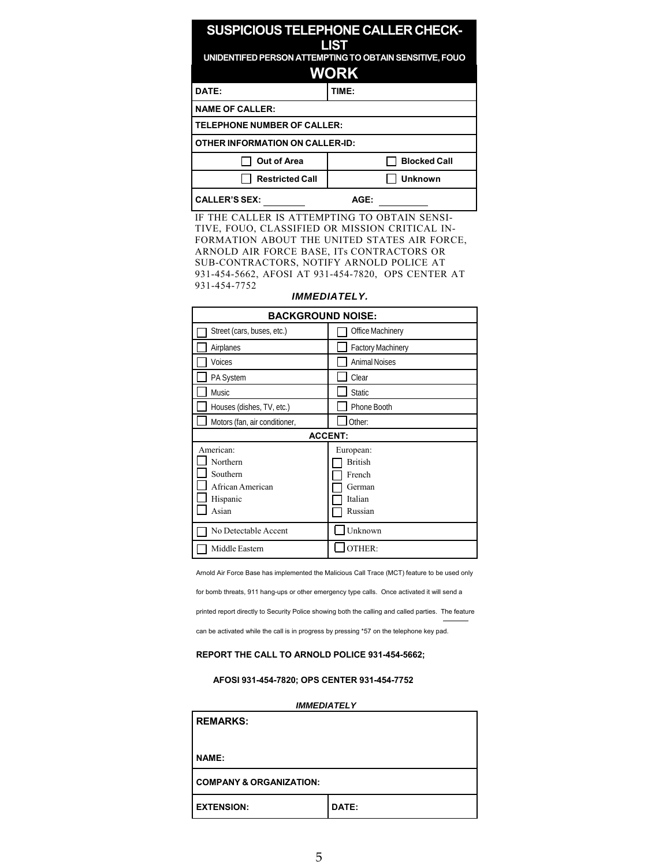### **SUSPICIOUS TELEPHONE CALLER CHECK-LIST UNIDENTIFED PERSON ATTEMPTING TO OBTAIN SENSITIVE, FOUO WORK DATE: TIME: NAME OF CALLER: TELEPHONE NUMBER OF CALLER: OTHER INFORMATION ON CALLER-ID:** ◯ Out of Area │ Blocked Call

| <b>Restricted Call</b> | I Unknown |
|------------------------|-----------|
| <b>I CALLER'S SEX:</b> | AGF ·     |

IF THE CALLER IS ATTEMPTING TO OBTAIN SENSI-TIVE, FOUO, CLASSIFIED OR MISSION CRITICAL IN-FORMATION ABOUT THE UNITED STATES AIR FORCE, ARNOLD AIR FORCE BASE, ITs CONTRACTORS OR SUB-CONTRACTORS, NOTIFY ARNOLD POLICE AT 931-454-5662, AFOSI AT 931-454-7820, OPS CENTER AT 931-454-7752

| <b>BACKGROUND NOISE:</b>                                                   |                                                                       |  |
|----------------------------------------------------------------------------|-----------------------------------------------------------------------|--|
| Street (cars, buses, etc.)                                                 | Office Machinery                                                      |  |
| Airplanes                                                                  | <b>Factory Machinery</b>                                              |  |
| Voices                                                                     | <b>Animal Noises</b>                                                  |  |
| PA System                                                                  | Clear                                                                 |  |
| Music                                                                      | <b>Static</b>                                                         |  |
| Houses (dishes, TV, etc.)                                                  | Phone Booth                                                           |  |
| Motors (fan, air conditioner,                                              | Other:                                                                |  |
| <b>ACCENT:</b>                                                             |                                                                       |  |
| American:<br>Northern<br>Southern<br>African American<br>Hispanic<br>Asian | European:<br><b>British</b><br>French<br>German<br>Italian<br>Russian |  |
| No Detectable Accent                                                       | Unknown                                                               |  |
| Middle Eastern                                                             | OTHER:                                                                |  |

#### *IMMEDIATELY.*

Arnold Air Force Base has implemented the Malicious Call Trace (MCT) feature to be used only

for bomb threats, 911 hang-ups or other emergency type calls. Once activated it will send a

printed report directly to Security Police showing both the calling and called parties. The feature

can be activated while the call is in progress by pressing \*57 on the telephone key pad.

#### **REPORT THE CALL TO ARNOLD POLICE 931-454-5662;**

#### **AFOSI 931-454-7820; OPS CENTER 931-454-7752**

#### *IMMEDIATELY*

| <b>REMARKS:</b>                    |       |
|------------------------------------|-------|
| <b>NAME:</b>                       |       |
| <b>COMPANY &amp; ORGANIZATION:</b> |       |
| <b>EXTENSION:</b>                  | DATE: |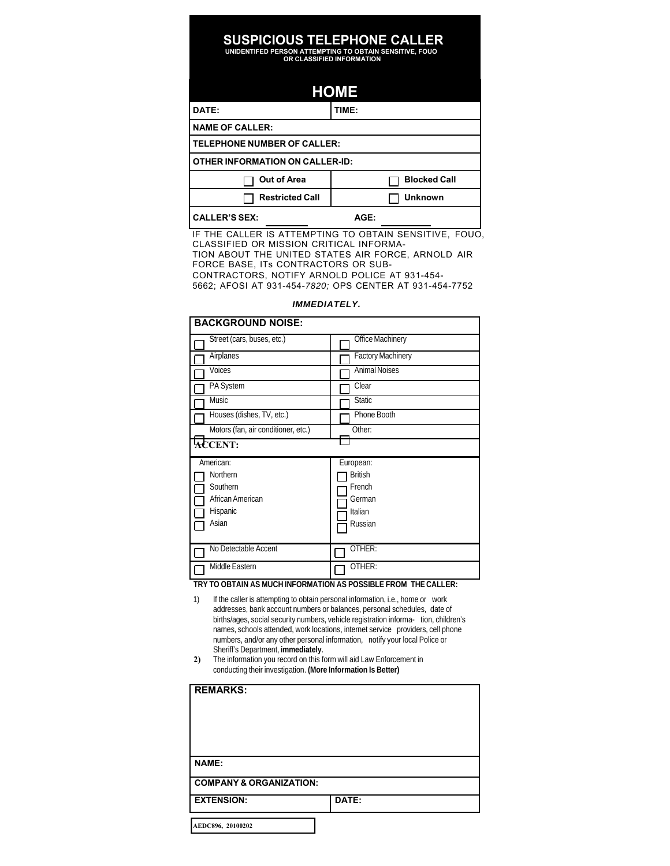## **SUSPICIOUS TELEPHONE CALLER UNIDENTIFED PERSON ATTEMPTING TO OBTAIN SENSITIVE, FOUO OR CLASSIFIED INFORMATION**

### **HOME**

| DATE:                                  | TIME: |                     |
|----------------------------------------|-------|---------------------|
| <b>NAME OF CALLER:</b>                 |       |                     |
| <b>TELEPHONE NUMBER OF CALLER:</b>     |       |                     |
| <b>OTHER INFORMATION ON CALLER-ID:</b> |       |                     |
| <b>Out of Area</b>                     |       | <b>Blocked Call</b> |
| <b>Restricted Call</b>                 |       | <b>Unknown</b>      |
| <b>CALLER'S SEX:</b>                   | AGE:  |                     |

IF THE CALLER IS ATTEMPTING TO OBTAIN SENSITIVE, FOUO, CLASSIFIED OR MISSION CRITICAL INFORMA-TION ABOUT THE UNITED STATES AIR FORCE, ARNOLD AIR FORCE BASE, ITs CONTRACTORS OR SUB-CONTRACTORS, NOTIFY ARNOLD POLICE AT 931-454- 5662; AFOSI AT 931-454-*7820;* OPS CENTER AT 931-454-7752

### *IMMEDIATELY.*

|                | <b>BACKGROUND NOISE:</b>            |                      |  |
|----------------|-------------------------------------|----------------------|--|
|                | Street (cars, buses, etc.)          | Office Machinery     |  |
|                | Airplanes                           | Factory Machinery    |  |
|                | Voices                              | <b>Animal Noises</b> |  |
|                | PA System                           | Clear                |  |
|                | Music                               | <b>Static</b>        |  |
|                | Houses (dishes, TV, etc.)           | Phone Booth          |  |
|                | Motors (fan, air conditioner, etc.) | Other:               |  |
| <b>ACCENT:</b> |                                     |                      |  |
|                |                                     |                      |  |
|                | American:                           | European:            |  |
|                | Northern                            | <b>British</b>       |  |
|                | Southern                            | French               |  |
|                | African American                    | German               |  |
|                | Hispanic                            | Italian              |  |
|                | Asian                               | Russian              |  |
|                |                                     |                      |  |
|                | No Detectable Accent                | OTHER:               |  |

**TRY TO OBTAIN AS MUCH INFORMATION AS POSSIBLE FROM THE CALLER:**

- 1) If the caller is attempting to obtain personal information, i.e., home or work addresses, bank account numbers or balances, personal schedules, date of births/ages, social security numbers, vehicle registration informa- tion, children's names, schools attended, work locations, internet service providers, cell phone numbers, and/or any other personal information, notify your local Police or Sheriff's Department, **immediately**.
- **2)** The information you record on this form will aid Law Enforcement in conducting their investigation. **(More Information Is Better)**

| <b>REMARKS:</b>                    |       |
|------------------------------------|-------|
| <b>NAME:</b>                       |       |
| <b>COMPANY &amp; ORGANIZATION:</b> |       |
| <b>EXTENSION:</b>                  | DATE: |
|                                    |       |

**AEDC896, 20100202**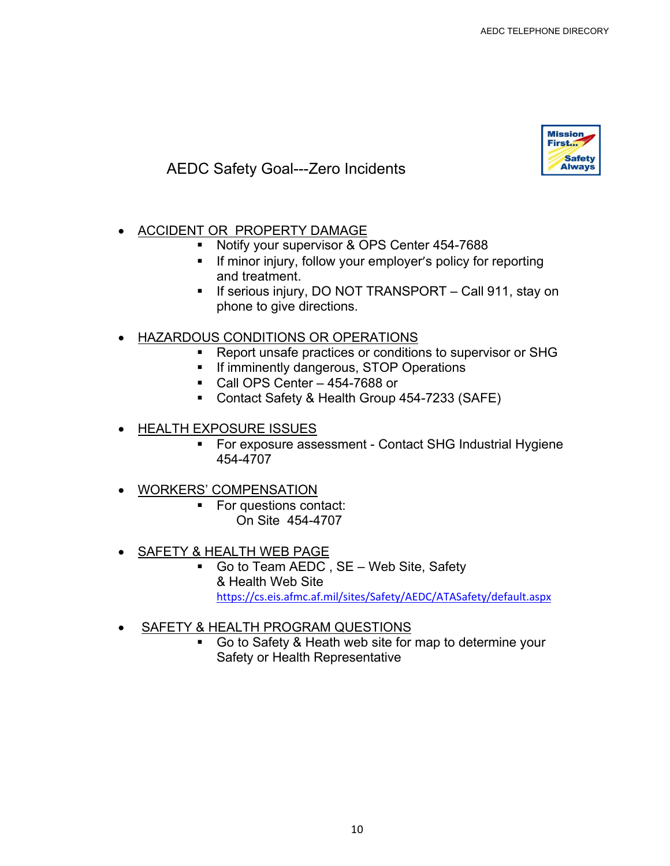

### AEDC Safety Goal---Zero Incidents

- ACCIDENT OR PROPERTY DAMAGE
	- Notify your supervisor & OPS Center 454-7688
	- **If minor injury, follow your employer's policy for reporting** and treatment.
	- **If serious injury, DO NOT TRANSPORT Call 911, stay on** phone to give directions.

### HAZARDOUS CONDITIONS OR OPERATIONS

- **Report unsafe practices or conditions to supervisor or SHG**
- **If imminently dangerous, STOP Operations**
- Call OPS Center 454-7688 or
- Contact Safety & Health Group 454-7233 (SAFE)
- HEALTH EXPOSURE ISSUES
	- For exposure assessment Contact SHG Industrial Hygiene 454-4707
- WORKERS' COMPENSATION
	- For questions contact: On Site 454-4707
		-
- SAFETY & HEALTH WEB PAGE
	- Go to Team AEDC , SE Web Site, Safety & Health Web Site https://cs.eis.afmc.af.mil/sites/Safety/AEDC/ATASafety/default.aspx
- SAFETY & HEALTH PROGRAM QUESTIONS
	- Go to Safety & Heath web site for map to determine your Safety or Health Representative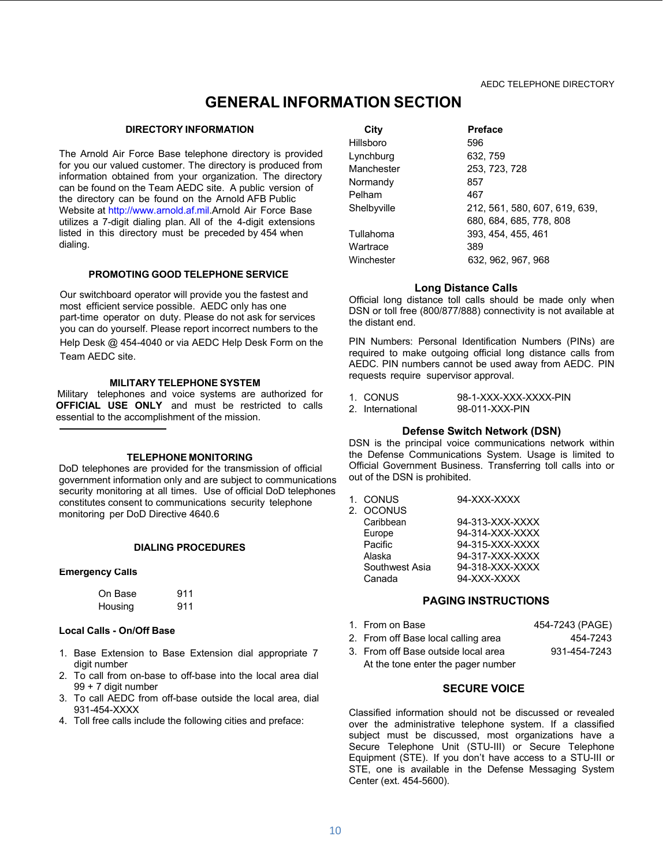### **GENERAL INFORMATION SECTION**

#### **DIRECTORY INFORMATION**

The Arnold Air Force Base telephone directory is provided for you our valued customer. The directory is produced from information obtained from your organization. The directory can be found on the Team AEDC site. A public version of the directory can be found on the Arnold AFB Public Website at http://www.arnold.af.mil.Arnold Air Force Base utilizes a 7-digit dialing plan. All of the 4-digit extensions listed in this directory must be preceded by 454 when dialing.

#### **PROMOTING GOOD TELEPHONE SERVICE**

Our switchboard operator will provide you the fastest and most efficient service possible. AEDC only has one part-time operator on duty. Please do not ask for services you can do yourself. Please report incorrect numbers to the Help Desk @ 454-4040 or via AEDC Help Desk Form on the Team AEDC site.

#### **MILITARY TELEPHONE SYSTEM**

Military telephones and voice systems are authorized for **OFFICIAL USE ONLY** and must be restricted to calls essential to the accomplishment of the mission.

#### **TELEPHONE MONITORING**

DoD telephones are provided for the transmission of official government information only and are subject to communications security monitoring at all times. Use of official DoD telephones constitutes consent to communications security telephone monitoring per DoD Directive 4640.6

### **DIALING PROCEDURES**

#### **Emergency Calls**

| On Base | 911 |
|---------|-----|
| Housing | 911 |

#### **Local Calls - On/Off Base**

- 1. Base Extension to Base Extension dial appropriate 7 digit number
- 2. To call from on-base to off-base into the local area dial 99 + 7 digit number
- 3. To call AEDC from off-base outside the local area, dial 931-454-XXXX
- 4. Toll free calls include the following cities and preface:

| City        | <b>Preface</b>                |
|-------------|-------------------------------|
| Hillsboro   | 596                           |
| Lynchburg   | 632, 759                      |
| Manchester  | 253, 723, 728                 |
| Normandy    | 857                           |
| Pelham      | 467                           |
| Shelbyville | 212, 561, 580, 607, 619, 639, |
|             | 680, 684, 685, 778, 808       |
| Tullahoma   | 393.454.455.461               |
| Wartrace    | 389                           |
| Winchester  | 632, 962, 967, 968            |

#### **Long Distance Calls**

Official long distance toll calls should be made only when DSN or toll free (800/877/888) connectivity is not available at the distant end.

PIN Numbers: Personal Identification Numbers (PINs) are required to make outgoing official long distance calls from AEDC. PIN numbers cannot be used away from AEDC. PIN requests require supervisor approval.

- 1. CONUS 98-1-XXX-XXX-XXXX-PIN
- 2. International 98-011-XXX-PIN

### **Defense Switch Network (DSN)**

DSN is the principal voice communications network within the Defense Communications System. Usage is limited to Official Government Business. Transferring toll calls into or out of the DSN is prohibited.

| 94-XXX-XXXX<br>1. CONUS |
|-------------------------|
|-------------------------|

| 2. OCONUS      |                 |
|----------------|-----------------|
| Caribbean      | 94-313-XXX-XXXX |
| Europe         | 94-314-XXX-XXXX |
| Pacific        | 94-315-XXX-XXXX |
| Alaska         | 94-317-XXX-XXXX |
| Southwest Asia | 94-318-XXX-XXXX |
| Canada         | 94-XXX-XXXX     |
|                |                 |

#### **PAGING INSTRUCTIONS**

| 1. From on Base                     | 454-7243 (PAGE) |
|-------------------------------------|-----------------|
| 2. From off Base local calling area | 454-7243        |
| 3. From off Base outside local area | 931-454-7243    |
| At the tone enter the pager number  |                 |

### **SECURE VOICE**

Classified information should not be discussed or revealed over the administrative telephone system. If a classified subject must be discussed, most organizations have a Secure Telephone Unit (STU-III) or Secure Telephone Equipment (STE). If you don't have access to a STU-III or STE, one is available in the Defense Messaging System Center (ext. 454-5600).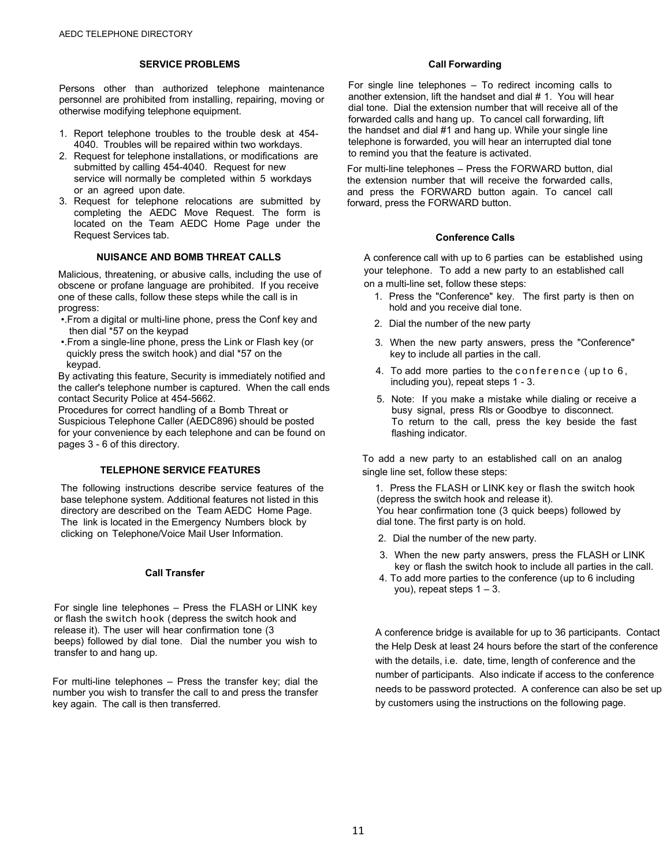#### **SERVICE PROBLEMS**

Persons other than authorized telephone maintenance personnel are prohibited from installing, repairing, moving or otherwise modifying telephone equipment.

- 1. Report telephone troubles to the trouble desk at 454- 4040. Troubles will be repaired within two workdays.
- 2. Request for telephone installations, or modifications are submitted by calling 454-4040. Request for new service will normally be completed within 5 workdays or an agreed upon date.
- 3. Request for telephone relocations are submitted by completing the AEDC Move Request. The form is located on the Team AEDC Home Page under the Request Services tab.

#### **NUISANCE AND BOMB THREAT CALLS**

Malicious, threatening, or abusive calls, including the use of obscene or profane language are prohibited. If you receive one of these calls, follow these steps while the call is in progress:

- •.From a digital or multi-line phone, press the Conf key and then dial \*57 on the keypad
- •.From a single-line phone, press the Link or Flash key (or quickly press the switch hook) and dial \*57 on the keypad.

By activating this feature, Security is immediately notified and the caller's telephone number is captured. When the call ends contact Security Police at 454-5662.

Procedures for correct handling of a Bomb Threat or Suspicious Telephone Caller (AEDC896) should be posted for your convenience by each telephone and can be found on pages 3 - 6 of this directory.

### **TELEPHONE SERVICE FEATURES**

The following instructions describe service features of the base telephone system. Additional features not listed in this directory are described on the Team AEDC Home Page. The link is located in the Emergency Numbers block by clicking on Telephone/Voice Mail User Information.

### **Call Transfer**

For single line telephones – Press the FLASH or LINK key or flash the switch hook (depress the switch hook and release it). The user will hear confirmation tone (3 beeps) followed by dial tone. Dial the number you wish to transfer to and hang up.

For multi-line telephones – Press the transfer key; dial the number you wish to transfer the call to and press the transfer key again. The call is then transferred.

#### **Call Forwarding**

For single line telephones – To redirect incoming calls to another extension, lift the handset and dial # 1. You will hear dial tone. Dial the extension number that will receive all of the forwarded calls and hang up. To cancel call forwarding, lift the handset and dial #1 and hang up. While your single line telephone is forwarded, you will hear an interrupted dial tone to remind you that the feature is activated.

For multi-line telephones – Press the FORWARD button, dial the extension number that will receive the forwarded calls, and press the FORWARD button again. To cancel call forward, press the FORWARD button.

#### **Conference Calls**

A conference call with up to 6 parties can be established using your telephone. To add a new party to an established call on a multi-line set, follow these steps:

- 1. Press the "Conference" key. The first party is then on hold and you receive dial tone.
- 2. Dial the number of the new party
- 3. When the new party answers, press the "Conference" key to include all parties in the call.
- 4. To add more parties to the conference (up to 6, including you), repeat steps 1 - 3.
- 5. Note: If you make a mistake while dialing or receive a busy signal, press Rls or Goodbye to disconnect. To return to the call, press the key beside the fast flashing indicator.

To add a new party to an established call on an analog single line set, follow these steps:

1. Press the FLASH or LINK key or flash the switch hook (depress the switch hook and release it). You hear confirmation tone (3 quick beeps) followed by dial tone. The first party is on hold.

- 2. Dial the number of the new party.
- 3. When the new party answers, press the FLASH or LINK key or flash the switch hook to include all parties in the call.
- 4. To add more parties to the conference (up to 6 including you), repeat steps  $1 - 3$ .

A conference bridge is available for up to 36 participants. Contact the Help Desk at least 24 hours before the start of the conference with the details, i.e. date, time, length of conference and the number of participants. Also indicate if access to the conference needs to be password protected. A conference can also be set up by customers using the instructions on the following page.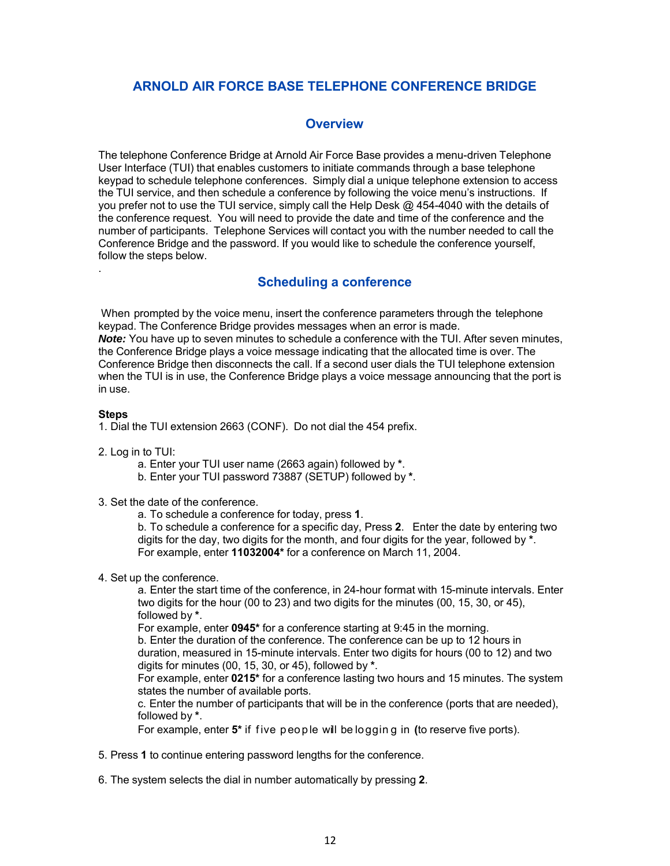### **ARNOLD AIR FORCE BASE TELEPHONE CONFERENCE BRIDGE**

### **Overview**

The telephone Conference Bridge at Arnold Air Force Base provides a menu-driven Telephone User Interface (TUI) that enables customers to initiate commands through a base telephone keypad to schedule telephone conferences. Simply dial a unique telephone extension to access the TUI service, and then schedule a conference by following the voice menu's instructions. If you prefer not to use the TUI service, simply call the Help Desk @ 454-4040 with the details of the conference request. You will need to provide the date and time of the conference and the number of participants. Telephone Services will contact you with the number needed to call the Conference Bridge and the password. If you would like to schedule the conference yourself, follow the steps below.

### **Scheduling a conference**

When prompted by the voice menu, insert the conference parameters through the telephone keypad. The Conference Bridge provides messages when an error is made. **Note:** You have up to seven minutes to schedule a conference with the TUI. After seven minutes, the Conference Bridge plays a voice message indicating that the allocated time is over. The

Conference Bridge then disconnects the call. If a second user dials the TUI telephone extension when the TUI is in use, the Conference Bridge plays a voice message announcing that the port is in use.

### **Steps**

.

1. Dial the TUI extension 2663 (CONF). Do not dial the 454 prefix.

- 2. Log in to TUI:
	- a. Enter your TUI user name (2663 again) followed by **\***.
	- b. Enter your TUI password 73887 (SETUP) followed by **\***.
- 3. Set the date of the conference.

a. To schedule a conference for today, press **1**.

b. To schedule a conference for a specific day, Press **2**. Enter the date by entering two digits for the day, two digits for the month, and four digits for the year, followed by **\***. For example, enter **11032004\*** for a conference on March 11, 2004.

4. Set up the conference.

a. Enter the start time of the conference, in 24-hour format with 15-minute intervals. Enter two digits for the hour (00 to 23) and two digits for the minutes (00, 15, 30, or 45), followed by **\***.

For example, enter **0945\*** for a conference starting at 9:45 in the morning.

b. Enter the duration of the conference. The conference can be up to 12 hours in duration, measured in 15-minute intervals. Enter two digits for hours (00 to 12) and two digits for minutes (00, 15, 30, or 45), followed by **\***.

For example, enter **0215\*** for a conference lasting two hours and 15 minutes. The system states the number of available ports.

c. Enter the number of participants that will be in the conference (ports that are needed), followed by **\***.

For example, enter **5<sup>\*</sup>** if five people will be logging in (to reserve five ports).

- 5. Press **1** to continue entering password lengths for the conference.
- 6. The system selects the dial in number automatically by pressing **2**.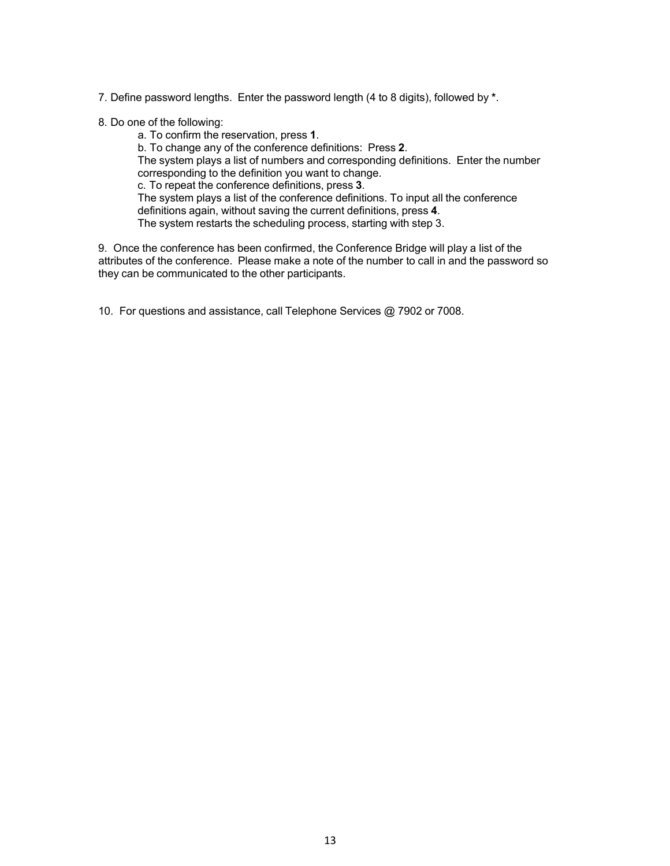7. Define password lengths. Enter the password length (4 to 8 digits), followed by **\***.

- 8. Do one of the following:
	- a. To confirm the reservation, press **1**.

b. To change any of the conference definitions: Press **2**. The system plays a list of numbers and corresponding definitions. Enter the number corresponding to the definition you want to change. c. To repeat the conference definitions, press **3**. The system plays a list of the conference definitions. To input all the conference definitions again, without saving the current definitions, press **4**.

The system restarts the scheduling process, starting with step 3.

9. Once the conference has been confirmed, the Conference Bridge will play a list of the attributes of the conference. Please make a note of the number to call in and the password so they can be communicated to the other participants.

10. For questions and assistance, call Telephone Services @ 7902 or 7008.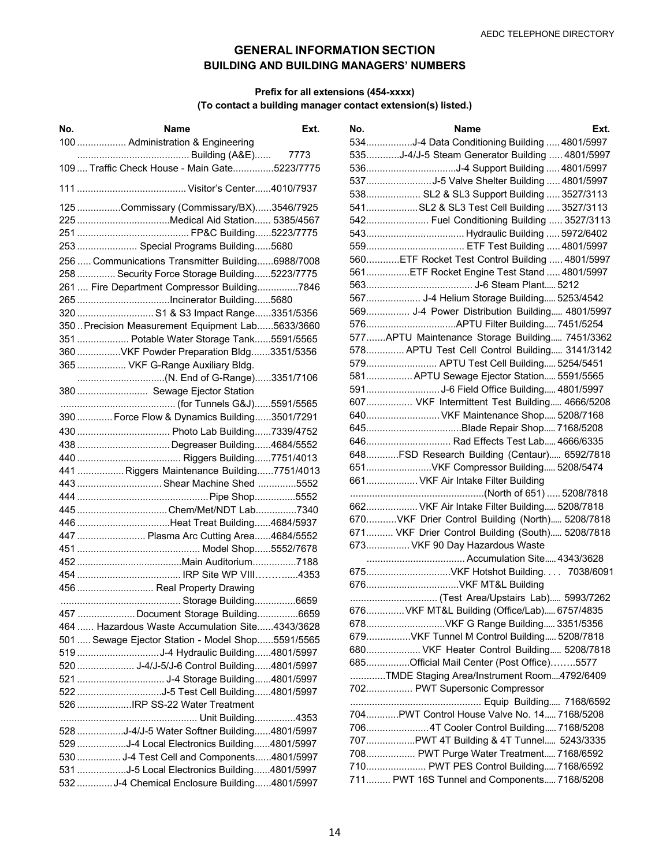### **GENERAL INFORMATION SECTION BUILDING AND BUILDING MANAGERS' NUMBERS**

### **Prefix for all extensions (454-xxxx) (To contact a building manager contact extension(s) listed.)**

| No. | Name                                              | Ext. |
|-----|---------------------------------------------------|------|
|     | 100  Administration & Engineering                 |      |
|     |                                                   |      |
|     | 109  Traffic Check House - Main Gate5223/7775     |      |
|     |                                                   |      |
|     | 125 Commissary (Commissary/BX)3546/7925           |      |
|     | 225 Medical Aid Station 5385/4567                 |      |
|     |                                                   |      |
|     | 253  Special Programs Building5680                |      |
|     | 256  Communications Transmitter Building6988/7008 |      |
|     | 258  Security Force Storage Building5223/7775     |      |
|     | 261  Fire Department Compressor Building7846      |      |
|     | 265 Incinerator Building5680                      |      |
|     | 320  S1 & S3 Impact Range3351/5356                |      |
|     | 350  Precision Measurement Equipment Lab5633/3660 |      |
|     | 351  Potable Water Storage Tank5591/5565          |      |
|     | 360 VKF Powder Preparation Bldg3351/5356          |      |
|     | 365  VKF G-Range Auxiliary Bldg.                  |      |
|     |                                                   |      |
|     | 380  Sewage Ejector Station                       |      |
|     |                                                   |      |
|     | 390  Force Flow & Dynamics Building3501/7291      |      |
|     |                                                   |      |
|     | 438  Degreaser Building4684/5552                  |      |
|     |                                                   |      |
|     | 441  Riggers Maintenance Building7751/4013        |      |
|     | 443  Shear Machine Shed 5552                      |      |
|     |                                                   |      |
|     | 445 Chem/Met/NDT Lab7340                          |      |
|     | 446 Heat Treat Building4684/5937                  |      |
|     | 447  Plasma Arc Cutting Area4684/5552             |      |
|     |                                                   |      |
|     |                                                   |      |
|     |                                                   |      |
|     | 456  Real Property Drawing                        |      |
|     |                                                   |      |
|     | 457  Document Storage Building6659                |      |
|     | 464  Hazardous Waste Accumulation Site4343/3628   |      |
|     | 501  Sewage Ejector Station - Model Shop5591/5565 |      |
|     | 519 J-4 Hydraulic Building4801/5997               |      |
|     | 520  J-4/J-5/J-6 Control Building4801/5997        |      |
|     |                                                   |      |
|     | 522 J-5 Test Cell Building4801/5997               |      |
|     | 526 IRP SS-22 Water Treatment                     |      |
|     |                                                   |      |
|     | 528 J-4/J-5 Water Softner Building4801/5997       |      |
|     | 529 J-4 Local Electronics Building4801/5997       |      |
|     | 530  J-4 Test Cell and Components4801/5997        |      |
|     | 531 J-5 Local Electronics Building4801/5997       |      |
|     | 532  J-4 Chemical Enclosure Building4801/5997     |      |

| No. | Ext.<br>Name                                     |
|-----|--------------------------------------------------|
|     | 534J-4 Data Conditioning Building  4801/5997     |
|     | 535J-4/J-5 Steam Generator Building  4801/5997   |
|     |                                                  |
|     | 537J-5 Valve Shelter Building  4801/5997         |
|     | 538 SL2 & SL3 Support Building  3527/3113        |
|     | 541SL2 & SL3 Test Cell Building  3527/3113       |
|     | 542 Fuel Conditioning Building  3527/3113        |
|     |                                                  |
|     |                                                  |
|     | 560ETF Rocket Test Control Building  4801/5997   |
|     | 561ETF Rocket Engine Test Stand  4801/5997       |
|     |                                                  |
|     | 567 J-4 Helium Storage Building 5253/4542        |
|     | 569 J-4 Power Distribution Building 4801/5997    |
|     |                                                  |
|     | 577APTU Maintenance Storage Building 7451/3362   |
|     | 578 APTU Test Cell Control Building 3141/3142    |
|     | 579 APTU Test Cell Building 5254/5451            |
|     | 581 APTU Sewage Ejector Station 5591/5565        |
|     | 591J-6 Field Office Building 4801/5997           |
|     | 607 VKF Intermittent Test Building 4666/5208     |
|     | 640 VKF Maintenance Shop 5208/7168               |
|     |                                                  |
|     | 646 Rad Effects Test Lab 4666/6335               |
|     | 648FSD Research Building (Centaur) 6592/7818     |
|     | 651VKF Compressor Building 5208/5474             |
|     | 661 VKF Air Intake Filter Building               |
|     |                                                  |
|     | 662 VKF Air Intake Filter Building 5208/7818     |
|     | 670VKF Drier Control Building (North) 5208/7818  |
|     | 671 VKF Drier Control Building (South) 5208/7818 |
|     | 673 VKF 90 Day Hazardous Waste                   |
|     | Accumulation Site 4343/3628                      |
|     | 675VKF Hotshot Building. 7038/6091               |
|     |                                                  |
|     | (Test Area/Upstairs Lab) 5993/7262               |
|     | 676 VKF MT&L Building (Office/Lab) 6757/4835     |
|     | 678VKF G Range Building 3351/5356                |
|     | 679VKF Tunnel M Control Building 5208/7818       |
|     | 680 VKF Heater Control Building 5208/7818        |
|     | 685Official Mail Center (Post Office)5577        |
|     | TMDE Staging Area/Instrument Room4792/6409       |
|     | 702 PWT Supersonic Compressor                    |
|     |                                                  |
|     | 704PWT Control House Valve No. 14 7168/5208      |
|     | 7064T Cooler Control Building 7168/5208          |
|     | 707PWT 4T Building & 4T Tunnel 5243/3335         |
|     | 708 PWT Purge Water Treatment 7168/6592          |
|     | 710 PWT PES Control Building 7168/6592           |
|     | 711 PWT 16S Tunnel and Components 7168/5208      |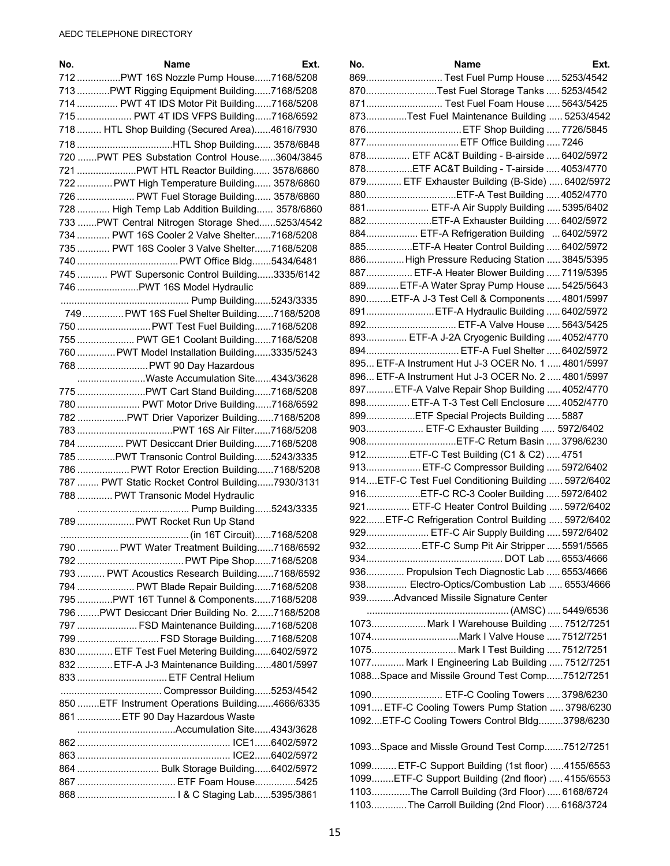| No. | Name<br>Ext.                                     | No.             |
|-----|--------------------------------------------------|-----------------|
|     | 712 PWT 16S Nozzle Pump House7168/5208           | 869             |
|     | 713 PWT Rigging Equipment Building7168/5208      | 87C             |
|     | 714  PWT 4T IDS Motor Pit Building7168/5208      | 871             |
|     | 715  PWT 4T IDS VFPS Building7168/6592           | 873             |
|     | 718  HTL Shop Building (Secured Area)4616/7930   | 876             |
|     | 718 HTL Shop Building 3578/6848                  | 877             |
|     | 720  PWT PES Substation Control House3604/3845   | 878             |
|     |                                                  | 878             |
|     | 722  PWT High Temperature Building 3578/6860     | 879             |
|     | 726  PWT Fuel Storage Building 3578/6860         | 880             |
|     | 728  High Temp Lab Addition Building 3578/6860   | 881             |
|     | 733  PWT Central Nitrogen Storage Shed5253/4542  | 882             |
|     | 734  PWT 16S Cooler 2 Valve Shelter7168/5208     | 884             |
|     | 735  PWT 16S Cooler 3 Valve Shelter7168/5208     | 885             |
|     |                                                  | 886             |
|     | 745  PWT Supersonic Control Building3335/6142    | 887             |
|     | 746  PWT 16S Model Hydraulic                     | 889             |
|     |                                                  | 890             |
|     | 749  PWT 16S Fuel Shelter Building7168/5208      | 891             |
|     | 750  PWT Test Fuel Building7168/5208             | 892             |
|     | 755  PWT GE1 Coolant Building7168/5208           | 893             |
|     | 760  PWT Model Installation Building3335/5243    | 894             |
|     | 768  PWT 90 Day Hazardous                        | 895             |
|     | Waste Accumulation Site4343/3628                 | 896             |
|     | 775 PWT Cart Stand Building7168/5208             | 897             |
|     | 780  PWT Motor Drive Building7168/6592           | 898             |
|     | 782 PWT Drier Vaporizer Building7168/5208        | 899             |
|     |                                                  | 903             |
|     | 784  PWT Desiccant Drier Building7168/5208       | 908             |
|     | 785 PWT Transonic Control Building5243/3335      | 912             |
|     | 786  PWT Rotor Erection Building7168/5208        | 913             |
|     | 787  PWT Static Rocket Control Building7930/3131 | 914             |
|     | 788  PWT Transonic Model Hydraulic               | 916             |
|     |                                                  | 921             |
|     | 789  PWT Rocket Run Up Stand                     | 922             |
|     |                                                  | 929             |
|     | 790  PWT Water Treatment Building7168/6592       | 932             |
|     |                                                  | 934             |
|     | 793  PWT Acoustics Research Building7168/6592    | 936             |
|     | 794  PWT Blade Repair Building7168/5208          | 938             |
|     | 795 PWT 16T Tunnel & Components7168/5208         | 939             |
|     | 796 PWT Desiccant Drier Building No. 27168/5208  |                 |
|     | 797  FSD Maintenance Building7168/5208           | 107             |
|     | 799  FSD Storage Building7168/5208               | 107             |
|     | 830  ETF Test Fuel Metering Building6402/5972    | 107             |
|     | 832  ETF-A J-3 Maintenance Building4801/5997     | 107             |
|     | 833  ETF Central Helium                          | 108             |
|     |                                                  | 109             |
|     | 850 ETF Instrument Operations Building4666/6335  | 10 <sup>c</sup> |
|     | 861  ETF 90 Day Hazardous Waste                  | 109             |
|     |                                                  |                 |
|     |                                                  | 109             |
|     |                                                  |                 |
|     | 864  Bulk Storage Building6402/5972              | 10 <sup>c</sup> |
|     | 867  ETF Foam House5425                          | 10 <sup>c</sup> |
|     |                                                  | 11C<br>4.4c     |

| No. | Name                                                | Ext. |
|-----|-----------------------------------------------------|------|
|     | 869 Test Fuel Pump House  5253/4542                 |      |
|     | 870Test Fuel Storage Tanks  5253/4542               |      |
|     | 871 Test Fuel Foam House  5643/5425                 |      |
|     | 873Test Fuel Maintenance Building  5253/4542        |      |
|     | 876 ETF Shop Building  7726/5845                    |      |
|     | 877 ETF Office Building  7246                       |      |
|     | 878 ETF AC&T Building - B-airside  6402/5972        |      |
|     | 878ETF AC&T Building - T-airside  4053/4770         |      |
|     | 879 ETF Exhauster Building (B-Side)  6402/5972      |      |
|     |                                                     |      |
|     | 880ETF-A Test Building  4052/4770                   |      |
|     | 881 ETF-A Air Supply Building  5395/6402            |      |
|     | 882ETF-A Exhauster Building  6402/5972              |      |
|     | 884 ETF-A Refrigeration Building  6402/5972         |      |
|     | 885ETF-A Heater Control Building  6402/5972         |      |
|     | 886High Pressure Reducing Station  3845/5395        |      |
|     | 887 ETF-A Heater Blower Building  7119/5395         |      |
|     | 889 ETF-A Water Spray Pump House  5425/5643         |      |
|     | 890ETF-A J-3 Test Cell & Components  4801/5997      |      |
|     | 891ETF-A Hydraulic Building  6402/5972              |      |
|     | 892 ETF-A Valve House  5643/5425                    |      |
|     | 893 ETF-A J-2A Cryogenic Building  4052/4770        |      |
|     | 894 ETF-A Fuel Shelter  6402/5972                   |      |
|     | 895 ETF-A Instrument Hut J-3 OCER No. 1  4801/5997  |      |
|     | 896 ETF-A Instrument Hut J-3 OCER No. 2  4801/5997  |      |
|     | 897 ETF-A Valve Repair Shop Building  4052/4770     |      |
|     | 898 ETF-A T-3 Test Cell Enclosure  4052/4770        |      |
|     | 899ETF Special Projects Building  5887              |      |
|     | 903 ETF-C Exhauster Building  5972/6402             |      |
|     | 908ETF-C Return Basin  3798/6230                    |      |
|     | 912ETF-C Test Building (C1 & C2)  4751              |      |
|     | 913 ETF-C Compressor Building  5972/6402            |      |
|     | 914ETF-C Test Fuel Conditioning Building  5972/6402 |      |
|     | 916ETF-C RC-3 Cooler Building  5972/6402            |      |
|     | 921 ETF-C Heater Control Building  5972/6402        |      |
|     | 922ETF-C Refrigeration Control Building  5972/6402  |      |
|     | 929 ETF-C Air Supply Building  5972/6402            |      |
|     | 932ETF-C Sump Pit Air Stripper  5591/5565           |      |
|     |                                                     |      |
|     | 936 Propulsion Tech Diagnostic Lab  6553/4666       |      |
|     | 938 Electro-Optics/Combustion Lab  6553/4666        |      |
|     | 939Advanced Missile Signature Center                |      |
|     |                                                     |      |
|     | 1073 Mark I Warehouse Building  7512/7251           |      |
|     | 1074Mark I Valve House  7512/7251                   |      |
|     | 1075 Mark I Test Building  7512/7251                |      |
|     | 1077 Mark I Engineering Lab Building  7512/7251     |      |
|     | 1088Space and Missile Ground Test Comp7512/7251     |      |
|     |                                                     |      |
|     | 1090 ETF-C Cooling Towers  3798/6230                |      |
|     | 1091 ETF-C Cooling Towers Pump Station  3798/6230   |      |
|     | 1092ETF-C Cooling Towers Control Bldg3798/6230      |      |
|     | 1093Space and Missle Ground Test Comp7512/7251      |      |
|     |                                                     |      |
|     | 1099 ETF-C Support Building (1st floor) 4155/6553   |      |
|     | 1099ETF-C Support Building (2nd floor)  4155/6553   |      |
|     | 1103The Carroll Building (3rd Floor)  6168/6724     |      |
|     | 1103The Carroll Building (2nd Floor)  6168/3724     |      |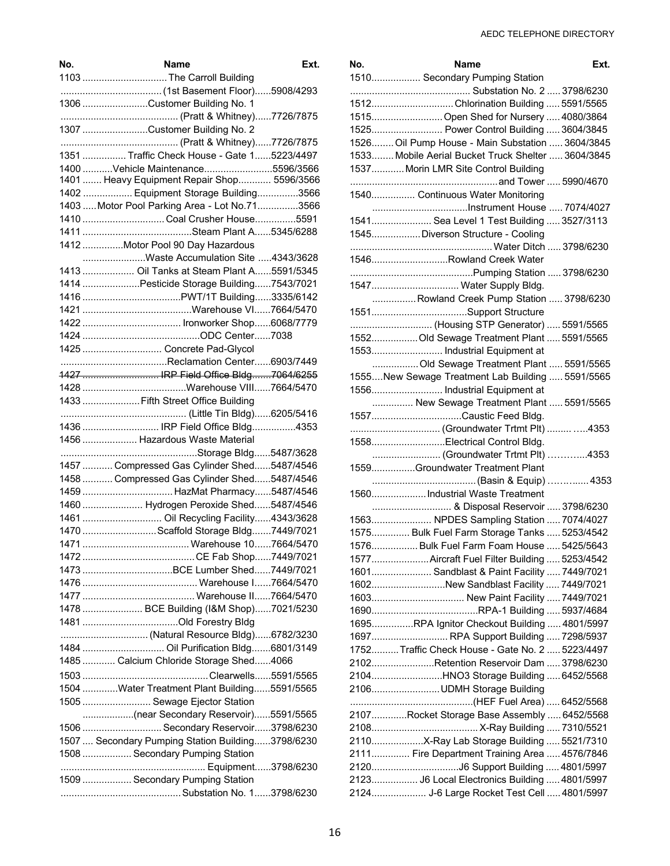| No.    | Name                                                                  | Ext. |
|--------|-----------------------------------------------------------------------|------|
|        | 1103  The Carroll Building                                            |      |
|        |                                                                       |      |
|        | 1306 Customer Building No. 1                                          |      |
|        |                                                                       |      |
|        | 1307 Customer Building No. 2                                          |      |
|        |                                                                       |      |
|        | 1351  Traffic Check House - Gate 15223/4497                           |      |
|        | 1400 Vehicle Maintenance5596/3566                                     |      |
|        | 1401  Heavy Equipment Repair Shop 5596/3566                           |      |
|        | 1402  Equipment Storage Building3566                                  |      |
|        | 1403  Motor Pool Parking Area - Lot No.71 3566                        |      |
|        | 1410  Coal Crusher House5591                                          |      |
|        |                                                                       |      |
|        | 1412 Motor Pool 90 Day Hazardous<br>Waste Accumulation Site 4343/3628 |      |
|        | 1413  Oil Tanks at Steam Plant A5591/5345                             |      |
|        | 1414 Pesticide Storage Building7543/7021                              |      |
|        |                                                                       |      |
|        |                                                                       |      |
|        |                                                                       |      |
|        |                                                                       |      |
|        | 1425  Concrete Pad-Glycol                                             |      |
|        |                                                                       |      |
|        | 1427  IRP Field Office Bldg7064/6255                                  |      |
|        |                                                                       |      |
|        | 1433  Fifth Street Office Building                                    |      |
|        |                                                                       |      |
|        | 1436  IRP Field Office Bldg4353                                       |      |
|        | 1456  Hazardous Waste Material                                        |      |
|        |                                                                       |      |
|        | 1457  Compressed Gas Cylinder Shed5487/4546                           |      |
|        | 1458  Compressed Gas Cylinder Shed5487/4546                           |      |
|        | 1459  HazMat Pharmacy5487/4546                                        |      |
|        | 1460  Hydrogen Peroxide Shed5487/4546                                 |      |
|        | 1461  Oil Recycling Facility4343/3628                                 |      |
|        | 1470 Scaffold Storage Bldg7449/7021                                   |      |
| 1471 — | <b>Warehouse 10 7664/5470</b>                                         |      |
|        |                                                                       |      |
|        | 1473 BCE Lumber Shed7449/7021                                         |      |
|        |                                                                       |      |
|        |                                                                       |      |
|        | 1478  BCE Building (I&M Shop)7021/5230                                |      |
|        |                                                                       |      |
|        | 1484  Oil Purification Bldg6801/3149                                  |      |
|        |                                                                       |      |
|        | 1485  Calcium Chloride Storage Shed4066                               |      |
|        |                                                                       |      |
|        | 1504 Water Treatment Plant Building5591/5565                          |      |
|        | 1505  Sewage Ejector Station                                          |      |
|        | 1506  Secondary Reservoir3798/6230                                    |      |
|        | 1507  Secondary Pumping Station Building3798/6230                     |      |
|        | 1508  Secondary Pumping Station                                       |      |
|        |                                                                       |      |
|        | 1509  Secondary Pumping Station                                       |      |
|        |                                                                       |      |

| No. | Name                                                                                    | Ext. |
|-----|-----------------------------------------------------------------------------------------|------|
|     | 1510 Secondary Pumping Station                                                          |      |
|     | 1512Chlorination Building  5591/5565                                                    |      |
|     | 1515 Open Shed for Nursery  4080/3864                                                   |      |
|     | 1525 Power Control Building  3604/3845                                                  |      |
|     | 1526 Oil Pump House - Main Substation  3604/3845                                        |      |
|     | 1533 Mobile Aerial Bucket Truck Shelter  3604/3845                                      |      |
|     | 1537 Morin LMR Site Control Building                                                    |      |
|     | 1540 Continuous Water Monitoring                                                        |      |
|     |                                                                                         |      |
|     | 1541 Sea Level 1 Test Building  3527/3113                                               |      |
|     | 1545 Diverson Structure - Cooling                                                       |      |
|     |                                                                                         |      |
|     | 1546Rowland Creek Water                                                                 |      |
|     |                                                                                         |      |
|     | 1547 Water Supply Bldg.                                                                 |      |
|     | Rowland Creek Pump Station  3798/6230                                                   |      |
|     |                                                                                         |      |
|     | (Housing STP Generator)  5591/5565                                                      |      |
|     | 1552Old Sewage Treatment Plant  5591/5565                                               |      |
|     | 1553 Industrial Equipment at                                                            |      |
|     | Old Sewage Treatment Plant  5591/5565                                                   |      |
|     | 1555New Sewage Treatment Lab Building  5591/5565                                        |      |
|     | 1556 Industrial Equipment at                                                            |      |
|     | New Sewage Treatment Plant  5591/5565                                                   |      |
|     | 1557Caustic Feed Bldg.                                                                  |      |
|     |                                                                                         |      |
|     | 1558Electrical Control Bldg.                                                            |      |
|     | (Groundwater Trtmt Plt) 4353                                                            |      |
|     | 1559Groundwater Treatment Plant                                                         |      |
|     |                                                                                         |      |
|     | 1560Industrial Waste Treatment                                                          |      |
|     | & Disposal Reservoir  3798/6230                                                         |      |
|     | 1563 NPDES Sampling Station  7074/4027                                                  |      |
|     | 1575 Bulk Fuel Farm Storage Tanks  5253/4542                                            |      |
|     | 1576 Bulk Fuel Farm Foam House  5425/5643                                               |      |
|     | 1577 Aircraft Fuel Filter Building  5253/4542                                           |      |
|     | 1601 Sandblast & Paint Facility  7449/7021                                              |      |
|     | 1602New Sandblast Facility  7449/7021                                                   |      |
|     | 1603 New Paint Facility  7449/7021                                                      |      |
|     | 1695RPA Ignitor Checkout Building  4801/5997                                            |      |
|     |                                                                                         |      |
|     | 1697 RPA Support Building  7298/5937<br>1752Traffic Check House - Gate No. 2  5223/4497 |      |
|     | 2102Retention Reservoir Dam  3798/6230                                                  |      |
|     |                                                                                         |      |
|     | 2104HNO3 Storage Building  6452/5568<br>2106UDMH Storage Building                       |      |
|     |                                                                                         |      |
|     | 2107Rocket Storage Base Assembly  6452/5568                                             |      |
|     |                                                                                         |      |
|     | 2110X-Ray Lab Storage Building  5521/7310                                               |      |
|     | 2111 Fire Department Training Area  4576/7846                                           |      |
|     |                                                                                         |      |
|     | 2123 J6 Local Electronics Building  4801/5997                                           |      |
|     | 2124 J-6 Large Rocket Test Cell  4801/5997                                              |      |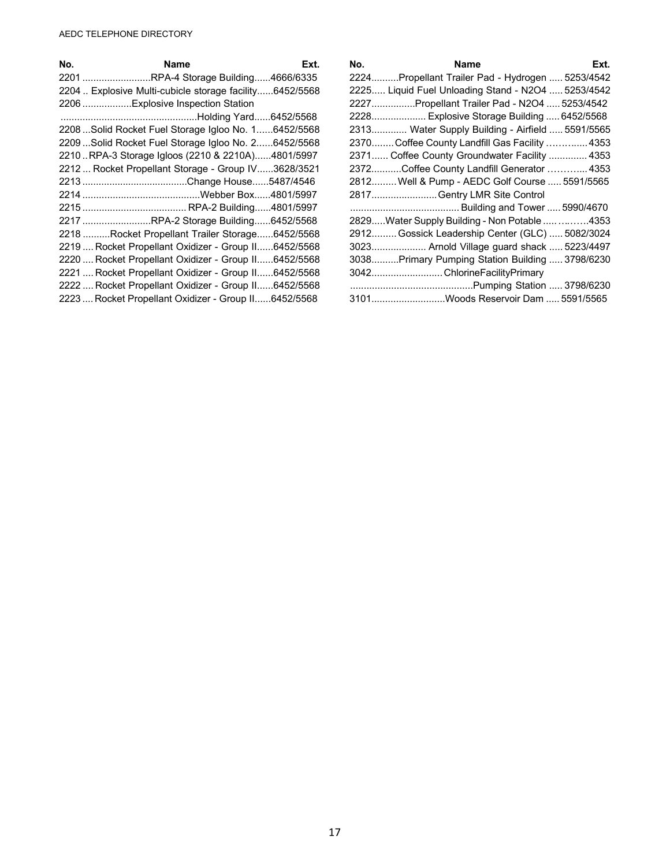| No. | Name                                                    | Ext. |
|-----|---------------------------------------------------------|------|
|     | 2201 RPA-4 Storage Building4666/6335                    |      |
|     | 2204  Explosive Multi-cubicle storage facility6452/5568 |      |
|     | 2206 Explosive Inspection Station                       |      |
|     |                                                         |      |
|     | 2208Solid Rocket Fuel Storage Igloo No. 16452/5568      |      |
|     | 2209 Solid Rocket Fuel Storage Igloo No. 26452/5568     |      |
|     | 2210RPA-3 Storage Igloos (2210 & 2210A)4801/5997        |      |
|     | 2212  Rocket Propellant Storage - Group IV3628/3521     |      |
|     |                                                         |      |
|     |                                                         |      |
|     |                                                         |      |
|     | 2217 RPA-2 Storage Building6452/5568                    |      |
|     | 2218 Rocket Propellant Trailer Storage6452/5568         |      |
|     | 2219  Rocket Propellant Oxidizer - Group II6452/5568    |      |
|     | 2220  Rocket Propellant Oxidizer - Group II6452/5568    |      |
|     | 2221  Rocket Propellant Oxidizer - Group II6452/5568    |      |
|     | 2222  Rocket Propellant Oxidizer - Group II6452/5568    |      |
|     | 2223  Rocket Propellant Oxidizer - Group II6452/5568    |      |

| No. | <b>Name</b><br>Ext.                                |
|-----|----------------------------------------------------|
|     | 2224Propellant Trailer Pad - Hydrogen  5253/4542   |
|     | 2225 Liquid Fuel Unloading Stand - N2O4  5253/4542 |
|     | 2227Propellant Trailer Pad - N2O4  5253/4542       |
|     | 2228 Explosive Storage Building  6452/5568         |
|     | 2313 Water Supply Building - Airfield  5591/5565   |
|     | 2370Coffee County Landfill Gas Facility  4353      |
|     | 2371 Coffee County Groundwater Facility  4353      |
|     | 2372Coffee County Landfill Generator  4353         |
|     | 2812 Well & Pump - AEDC Golf Course  5591/5565     |
|     | 2817Gentry LMR Site Control                        |
|     |                                                    |
|     | 2829Water Supply Building - Non Potable  4353      |
|     | 2912 Gossick Leadership Center (GLC)  5082/3024    |
|     | 3023 Arnold Village guard shack  5223/4497         |
|     | 3038Primary Pumping Station Building  3798/6230    |
|     | 3042 ChlorineFacilityPrimary                       |
|     |                                                    |
|     | 3101Woods Reservoir Dam  5591/5565                 |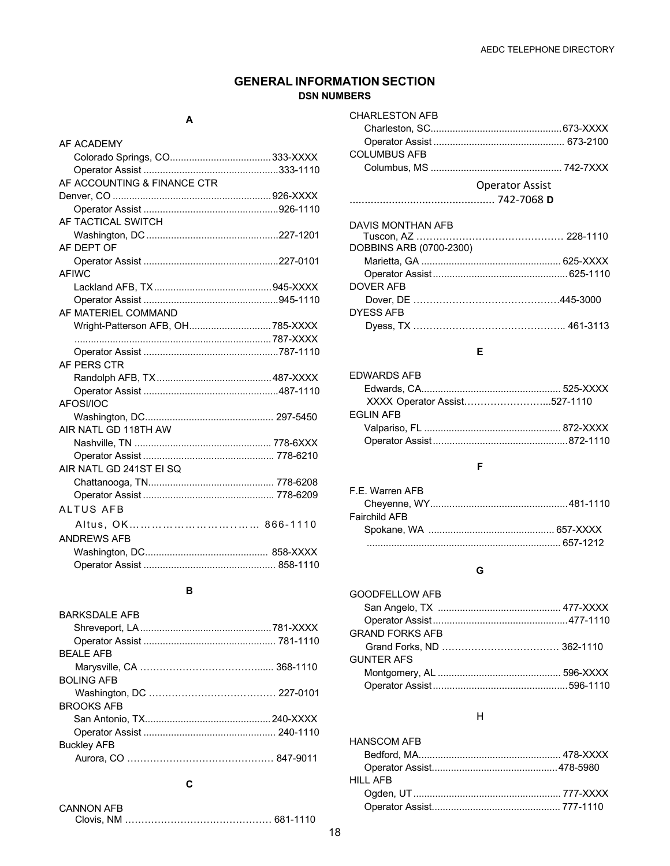### **GENERAL INFORMATION SECTION DSN NUMBERS**

### **A**

| AF ACADEMY                        |  |
|-----------------------------------|--|
|                                   |  |
|                                   |  |
| AF ACCOUNTING & FINANCE CTR       |  |
|                                   |  |
|                                   |  |
| AF TACTICAL SWITCH                |  |
|                                   |  |
| AF DEPT OF                        |  |
|                                   |  |
| <b>AFIWC</b>                      |  |
|                                   |  |
|                                   |  |
| AF MATERIEL COMMAND               |  |
| Wright-Patterson AFB, OH 785-XXXX |  |
|                                   |  |
|                                   |  |
| AF PFRS CTR                       |  |
|                                   |  |
|                                   |  |
| AFOSI/IOC                         |  |
|                                   |  |
| AIR NATL GD 118TH AW              |  |
|                                   |  |
|                                   |  |
| AIR NATL GD 241ST EI SQ           |  |
|                                   |  |
|                                   |  |
| <b>ALTUS AFB</b>                  |  |
| Altus. OK 866-1110                |  |
| <b>ANDREWS AFB</b>                |  |
|                                   |  |
|                                   |  |
|                                   |  |

### **B**

| BARKSDAI F AFB     |  |
|--------------------|--|
|                    |  |
|                    |  |
| <b>BFAIFAFB</b>    |  |
|                    |  |
| <b>BOLING AFB</b>  |  |
|                    |  |
| <b>BROOKS AFB</b>  |  |
|                    |  |
|                    |  |
| <b>Buckley AFB</b> |  |
|                    |  |
|                    |  |

### **C**

| <b>CANNON AFB</b> |  |
|-------------------|--|
|                   |  |

| <b>CHARLESTON AFB</b> |                        |
|-----------------------|------------------------|
|                       |                        |
|                       |                        |
| <b>COLUMBUS AFB</b>   |                        |
|                       |                        |
|                       | <b>Operator Assist</b> |
|                       |                        |

#### DAVIS MONTHAN AFB

| DOBBINS ARB (0700-2300) |  |
|-------------------------|--|
|                         |  |
|                         |  |
| DOVFR AFB               |  |
|                         |  |
| DYFSS AFB               |  |
|                         |  |
|                         |  |

### **E**

| <b>EDWARDS AFR</b>           |  |
|------------------------------|--|
|                              |  |
| XXXX Operator Assist527-1110 |  |
| <b>EGLIN AFB</b>             |  |
|                              |  |
|                              |  |
|                              |  |

### **F**

| F.F. Warren AFB |  |
|-----------------|--|
|                 |  |
| Fairchild AFB.  |  |
|                 |  |
|                 |  |

### **G**

| GOODFELLOW AFB    |  |
|-------------------|--|
|                   |  |
|                   |  |
| GRAND FORKS AFB   |  |
|                   |  |
| <b>GUNTER AFS</b> |  |
|                   |  |
|                   |  |

### H

| <b>HANSCOM AFB</b> |  |
|--------------------|--|
|                    |  |
|                    |  |
| HII I AFB          |  |
|                    |  |
|                    |  |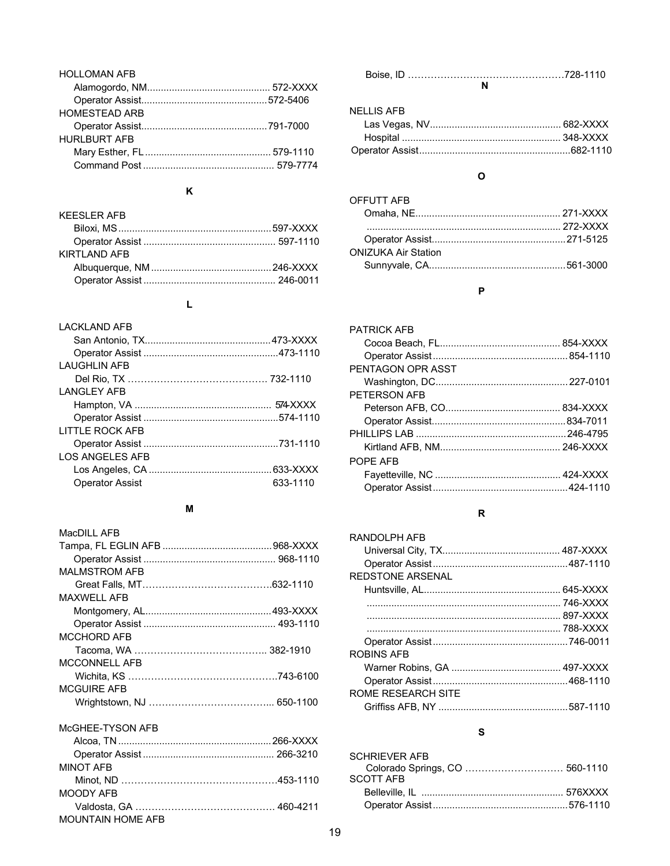| <b>HOLLOMAN AFB</b> |  |
|---------------------|--|
|                     |  |
|                     |  |
| HOMESTEAD ARB       |  |
|                     |  |
| <b>HURLBURT AFB</b> |  |
|                     |  |
|                     |  |
|                     |  |

### **K**

### **L**

| I ACKI AND AFB         |          |
|------------------------|----------|
|                        |          |
|                        |          |
| I AUGHI IN AFB         |          |
|                        |          |
| <b>LANGLEY AFB</b>     |          |
|                        |          |
|                        |          |
| LITTLE ROCK AFB        |          |
|                        |          |
| LOS ANGELES AFB        |          |
|                        |          |
| <b>Operator Assist</b> | 633-1110 |

### **M**

| MacDII I AFB             |  |
|--------------------------|--|
|                          |  |
|                          |  |
| <b>MAI MSTROM AFB</b>    |  |
|                          |  |
| MAXWELL AFB              |  |
|                          |  |
|                          |  |
| <b>MCCHORD AFB</b>       |  |
|                          |  |
| <b>MCCONNELL AFB</b>     |  |
|                          |  |
| <b>MCGUIRE AFB</b>       |  |
|                          |  |
| McGHEE-TYSON AFB         |  |
|                          |  |
|                          |  |
| <b>MINOT AFB</b>         |  |
|                          |  |
| MOODY AFB                |  |
|                          |  |
| <b>MOUNTAIN HOME AFB</b> |  |

### NELLIS AFB

### **O**

| OFFUTT AFB          |  |
|---------------------|--|
|                     |  |
|                     |  |
|                     |  |
| ONIZUKA Air Station |  |
|                     |  |
|                     |  |

### **P**

| PATRICK AFR       |  |
|-------------------|--|
|                   |  |
|                   |  |
| PENTAGON OPR ASST |  |
|                   |  |
| PETERSON AFB      |  |
|                   |  |
|                   |  |
|                   |  |
|                   |  |
| POPF AFB          |  |
|                   |  |
|                   |  |
|                   |  |

### **R**

| RANDOLPH AFB       |  |
|--------------------|--|
|                    |  |
|                    |  |
| RFDSTONF ARSFNAI   |  |
|                    |  |
|                    |  |
|                    |  |
|                    |  |
|                    |  |
| ROBINS AFB         |  |
|                    |  |
|                    |  |
| ROMF RFSFARCH SITF |  |
|                    |  |
|                    |  |

### **S**

| <b>SCHRIFVER AFB</b> |  |
|----------------------|--|
|                      |  |
| <b>SCOTT AFB</b>     |  |
|                      |  |
|                      |  |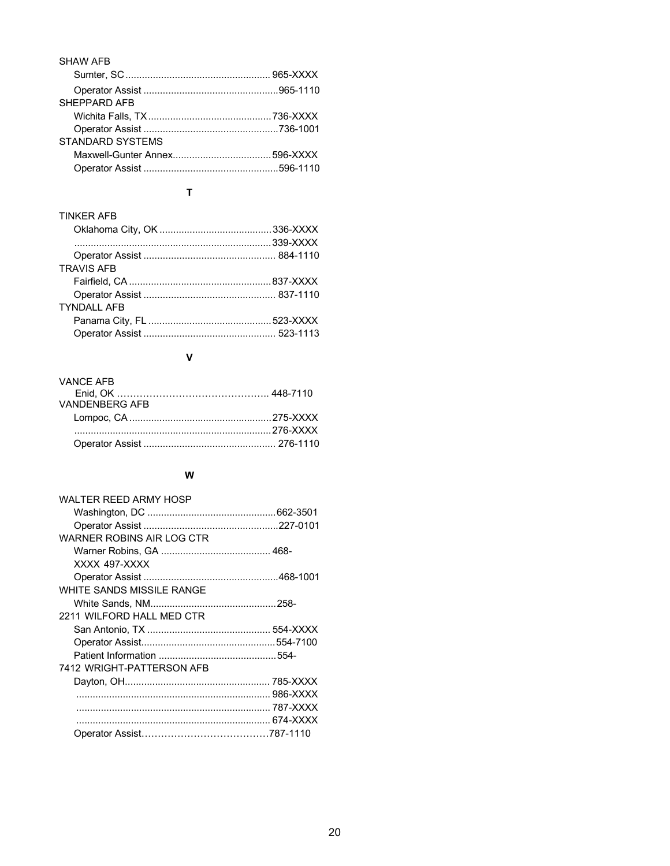| SHAW AFR                |  |
|-------------------------|--|
|                         |  |
|                         |  |
| SHEPPARD AFB            |  |
|                         |  |
|                         |  |
| <b>STANDARD SYSTEMS</b> |  |
|                         |  |
|                         |  |
|                         |  |

### **T**

| <b>TINKER AFB</b>  |  |
|--------------------|--|
|                    |  |
|                    |  |
|                    |  |
| <b>TRAVIS AFB</b>  |  |
|                    |  |
|                    |  |
| <b>TYNDALL AFB</b> |  |
|                    |  |
|                    |  |

### **V**

| <b>VANCE AFB</b>      |  |
|-----------------------|--|
| <b>VANDENBERG AFB</b> |  |
|                       |  |
|                       |  |
|                       |  |

### **W**

| WALTER REED ARMY HOSP     |  |
|---------------------------|--|
|                           |  |
|                           |  |
| WARNER ROBINS AIR LOG CTR |  |
|                           |  |
| XXXX 497-XXXX             |  |
|                           |  |
| WHITE SANDS MISSILE RANGE |  |
|                           |  |
| 2211 WILFORD HALL MED CTR |  |
|                           |  |
|                           |  |
|                           |  |
| 7412 WRIGHT-PATTERSON AFB |  |
|                           |  |
|                           |  |
|                           |  |
|                           |  |
|                           |  |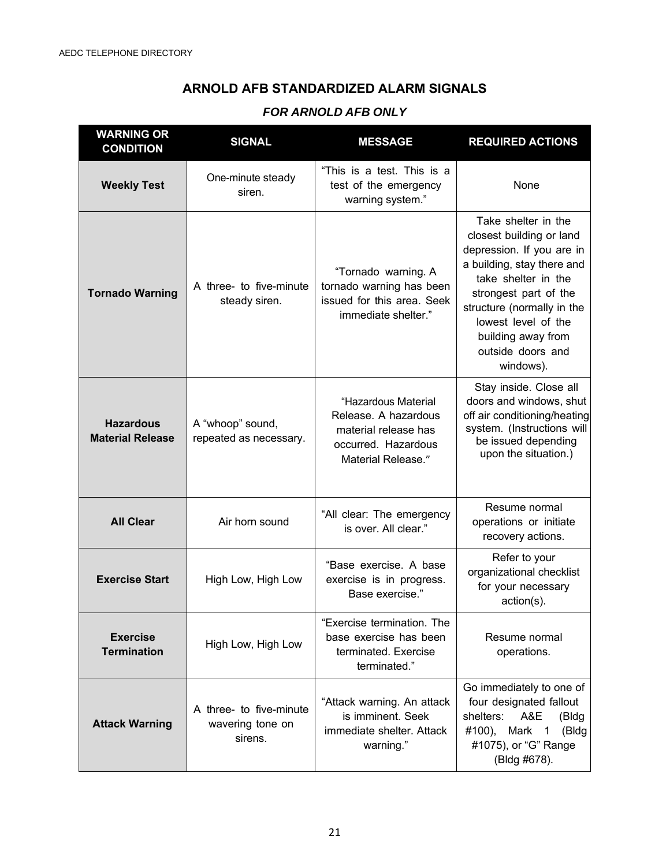### **ARNOLD AFB STANDARDIZED ALARM SIGNALS**

### *FOR ARNOLD AFB ONLY*

| <b>WARNING OR</b><br><b>CONDITION</b>       | <b>SIGNAL</b>                                          | <b>MESSAGE</b>                                                                                                   | <b>REQUIRED ACTIONS</b>                                                                                                                                                                                                                                                 |
|---------------------------------------------|--------------------------------------------------------|------------------------------------------------------------------------------------------------------------------|-------------------------------------------------------------------------------------------------------------------------------------------------------------------------------------------------------------------------------------------------------------------------|
| <b>Weekly Test</b>                          | One-minute steady<br>siren.                            | "This is a test. This is a<br>test of the emergency<br>warning system."                                          | None                                                                                                                                                                                                                                                                    |
| <b>Tornado Warning</b>                      | A three- to five-minute<br>steady siren.               | "Tornado warning. A<br>tornado warning has been<br>issued for this area. Seek<br>immediate shelter."             | Take shelter in the<br>closest building or land<br>depression. If you are in<br>a building, stay there and<br>take shelter in the<br>strongest part of the<br>structure (normally in the<br>lowest level of the<br>building away from<br>outside doors and<br>windows). |
| <b>Hazardous</b><br><b>Material Release</b> | A "whoop" sound,<br>repeated as necessary.             | "Hazardous Material<br>Release. A hazardous<br>material release has<br>occurred. Hazardous<br>Material Release." | Stay inside. Close all<br>doors and windows, shut<br>off air conditioning/heating<br>system. (Instructions will<br>be issued depending<br>upon the situation.)                                                                                                          |
| <b>All Clear</b>                            | Air horn sound                                         | "All clear: The emergency<br>is over. All clear."                                                                | Resume normal<br>operations or initiate<br>recovery actions.                                                                                                                                                                                                            |
| <b>Exercise Start</b>                       | High Low, High Low                                     | "Base exercise. A base<br>exercise is in progress.<br>Base exercise."                                            | Refer to your<br>organizational checklist<br>for your necessary<br>action(s).                                                                                                                                                                                           |
| <b>Exercise</b><br><b>Termination</b>       | High Low, High Low                                     | "Exercise termination. The<br>base exercise has been<br>terminated. Exercise<br>terminated."                     | Resume normal<br>operations.                                                                                                                                                                                                                                            |
| <b>Attack Warning</b>                       | A three- to five-minute<br>wavering tone on<br>sirens. | "Attack warning. An attack<br>is imminent. Seek<br>immediate shelter. Attack<br>warning."                        | Go immediately to one of<br>four designated fallout<br>A&E<br>shelters:<br>(Bldg<br>#100), Mark 1<br>(Bldg<br>#1075), or "G" Range<br>(Bldg #678).                                                                                                                      |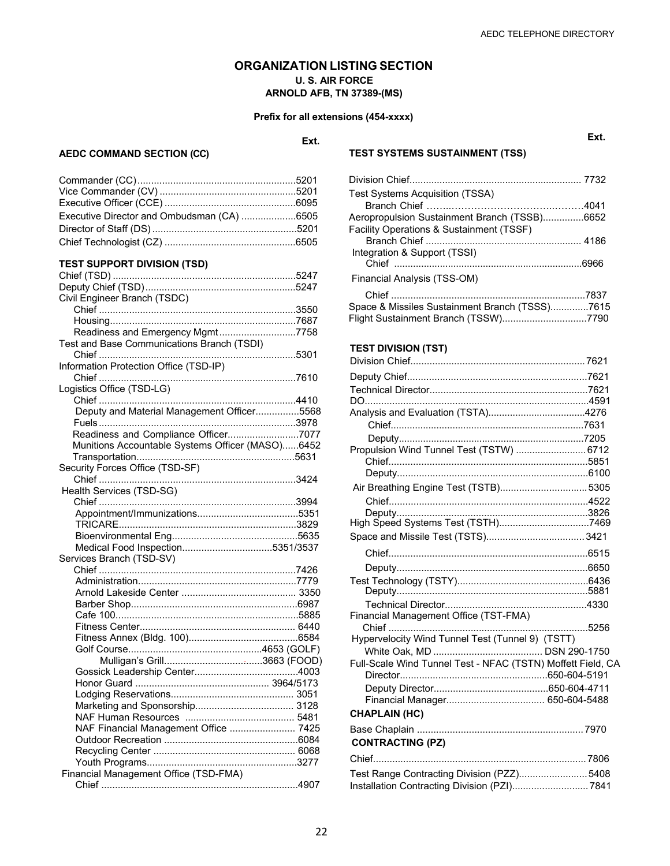### **ORGANIZATION LISTING SECTION U. S. AIR FORCE ARNOLD AFB, TN 37389-(MS)**

### **Prefix for all extensions (454-xxxx)**

### **Ext.**

**AEDC COMMAND SECTION (CC)**

| ۰. |
|----|

| Executive Director and Ombudsman (CA) 6505 |  |
|--------------------------------------------|--|
|                                            |  |
|                                            |  |

### **TEST SUPPORT DIVISION (TSD)**

| Civil Engineer Branch (TSDC)                     |  |
|--------------------------------------------------|--|
|                                                  |  |
|                                                  |  |
| Readiness and Emergency Mgmt7758                 |  |
| Test and Base Communications Branch (TSDI)       |  |
|                                                  |  |
| Information Protection Office (TSD-IP)           |  |
|                                                  |  |
| Logistics Office (TSD-LG)                        |  |
|                                                  |  |
| Deputy and Material Management Officer5568       |  |
|                                                  |  |
| Readiness and Compliance Officer7077             |  |
| Munitions Accountable Systems Officer (MASO)6452 |  |
|                                                  |  |
|                                                  |  |
| Security Forces Office (TSD-SF)                  |  |
|                                                  |  |
| Health Services (TSD-SG)                         |  |
|                                                  |  |
|                                                  |  |
|                                                  |  |
|                                                  |  |
| Medical Food Inspection5351/3537                 |  |
| Services Branch (TSD-SV)                         |  |
|                                                  |  |
|                                                  |  |
|                                                  |  |
|                                                  |  |
|                                                  |  |
|                                                  |  |
|                                                  |  |
|                                                  |  |
|                                                  |  |
|                                                  |  |
|                                                  |  |
|                                                  |  |
|                                                  |  |
|                                                  |  |
| NAF Financial Management Office  7425            |  |
|                                                  |  |
|                                                  |  |
|                                                  |  |
|                                                  |  |
| Financial Management Office (TSD-FMA)            |  |
|                                                  |  |

### **TEST SYSTEMS SUSTAINMENT (TSS)**

| <b>Test Systems Acquisition (TSSA)</b>         |  |
|------------------------------------------------|--|
|                                                |  |
| Aeropropulsion Sustainment Branch (TSSB)6652   |  |
| Facility Operations & Sustainment (TSSF)       |  |
|                                                |  |
| Integration & Support (TSSI)                   |  |
|                                                |  |
| Financial Analysis (TSS-OM)                    |  |
|                                                |  |
| Space & Missiles Sustainment Branch (TSSS)7615 |  |
| Flight Sustainment Branch (TSSW)7790           |  |

### **TEST DIVISION (TST)**

| Propulsion Wind Tunnel Test (TSTW)  6712                    |  |
|-------------------------------------------------------------|--|
|                                                             |  |
|                                                             |  |
| Air Breathing Engine Test (TSTB) 5305                       |  |
|                                                             |  |
|                                                             |  |
|                                                             |  |
|                                                             |  |
|                                                             |  |
|                                                             |  |
|                                                             |  |
|                                                             |  |
| Financial Management Office (TST-FMA)                       |  |
|                                                             |  |
| Hypervelocity Wind Tunnel Test (Tunnel 9) (TSTT)            |  |
| Full-Scale Wind Tunnel Test - NFAC (TSTN) Moffett Field, CA |  |
|                                                             |  |
|                                                             |  |
|                                                             |  |
| <b>CHAPLAIN (HC)</b>                                        |  |
|                                                             |  |
| <b>CONTRACTING (PZ)</b>                                     |  |
|                                                             |  |
| Test Range Contracting Division (PZZ) 5408                  |  |
|                                                             |  |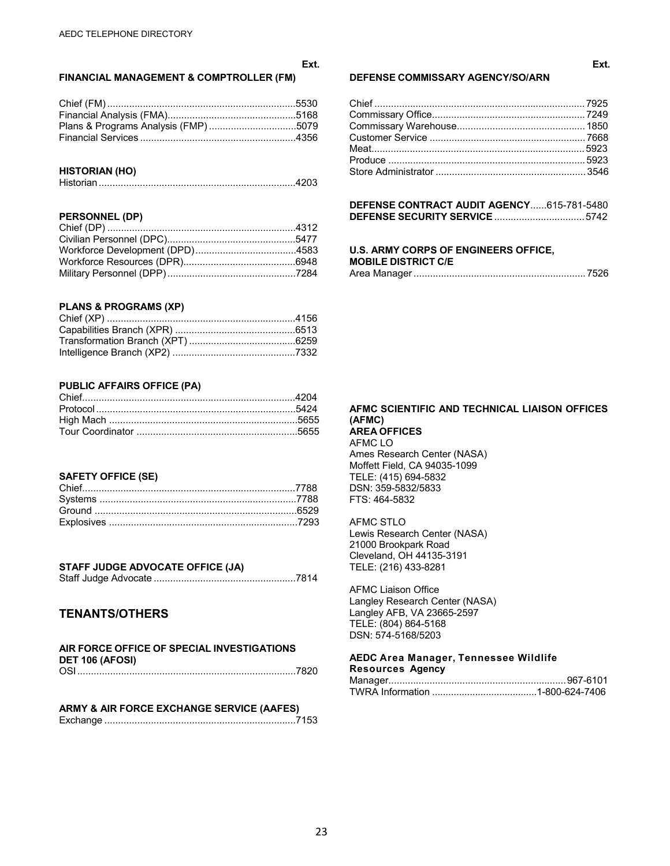#### **FINANCIAL MANAGEMENT & COMPTROLLER (FM)**

**Ext.**

### **HISTORIAN (HO)**

|--|

### **PERSONNEL (DP)**

### **PLANS & PROGRAMS (XP)**

### **PUBLIC AFFAIRS OFFICE (PA)**

#### **SAFETY OFFICE (SE)**

### **STAFF JUDGE ADVOCATE OFFICE (JA)**

|--|--|

### **TENANTS/OTHERS**

| AIR FORCE OFFICE OF SPECIAL INVESTIGATIONS |  |
|--------------------------------------------|--|
| DET 106 (AFOSI)                            |  |
|                                            |  |

#### **ARMY & AIR FORCE EXCHANGE SERVICE (AAFES)** Exchange ......................................................................7153

#### **DEFENSE COMMISSARY AGENCY/SO/ARN**

#### **DEFENSE CONTRACT AUDIT AGENCY**......615-781-5480 **DEFENSE SECURITY SERVICE** ................................. 5742

#### **U.S. ARMY CORPS OF ENGINEERS OFFICE, MOBILE DISTRICT C/E** Area Manager ............................................................... 7526

#### **AFMC SCIENTIFIC AND TECHNICAL LIAISON OFFICES (AFMC) AREA OFFICES**

AFMC LO Ames Research Center (NASA) Moffett Field, CA 94035-1099 TELE: (415) 694-5832 DSN: 359-5832/5833 FTS: 464-5832

#### AFMC STLO

Lewis Research Center (NASA) 21000 Brookpark Road Cleveland, OH 44135-3191 TELE: (216) 433-8281

AFMC Liaison Office Langley Research Center (NASA) Langley AFB, VA 23665-2597 TELE: (804) 864-5168 DSN: 574-5168/5203

### **AEDC Area Manager, Tennessee Wildlife**

| <b>Resources Agency</b> |  |
|-------------------------|--|
|                         |  |
|                         |  |

**Ext.**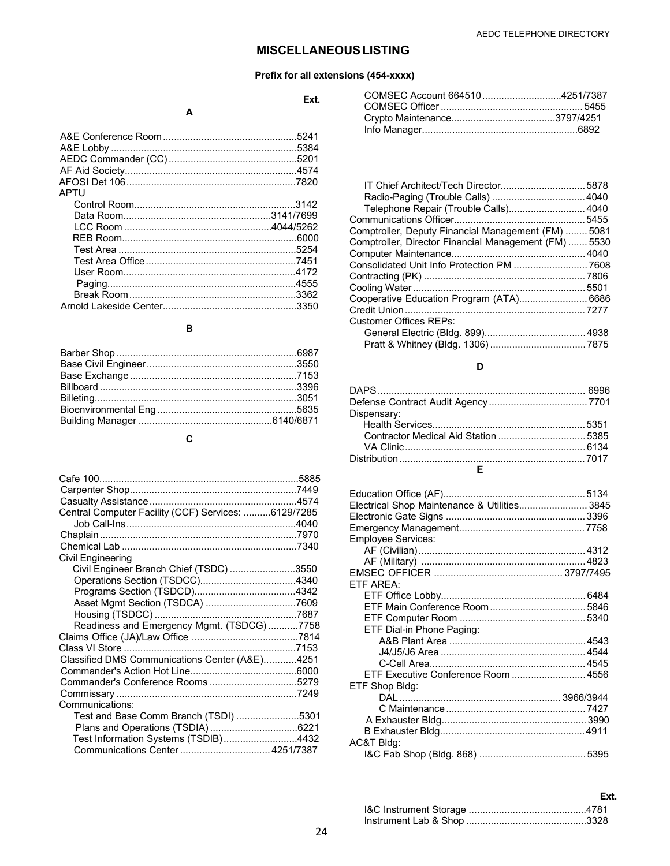### **MISCELLANEOUS LISTING**

### **Prefix for all extensions (454-xxxx)**

**Ext.**

### **A**

|      | .5384 |
|------|-------|
|      |       |
|      |       |
|      |       |
| APTU |       |
|      |       |
|      |       |
|      |       |
|      |       |
|      |       |
|      |       |
|      |       |
|      |       |
|      |       |
|      | .3350 |
|      |       |

### **B**

### **C**

| Central Computer Facility (CCF) Services: 6129/7285 |  |
|-----------------------------------------------------|--|
|                                                     |  |
|                                                     |  |
|                                                     |  |
| Civil Engineering                                   |  |
| Civil Engineer Branch Chief (TSDC) 3550             |  |
|                                                     |  |
|                                                     |  |
|                                                     |  |
|                                                     |  |
| Readiness and Emergency Mgmt. (TSDCG)7758           |  |
|                                                     |  |
|                                                     |  |
| Classified DMS Communications Center (A&E)4251      |  |
|                                                     |  |
|                                                     |  |
|                                                     |  |
| Communications:                                     |  |
| Test and Base Comm Branch (TSDI) 5301               |  |
|                                                     |  |
| Test Information Systems (TSDIB)4432                |  |
| Communications Center  4251/7387                    |  |

| COMSEC Account 6645104251/7387 |  |
|--------------------------------|--|
|                                |  |
|                                |  |
|                                |  |
|                                |  |

| IT Chief Architect/Tech Director5878                  |
|-------------------------------------------------------|
|                                                       |
| Telephone Repair (Trouble Calls) 4040                 |
|                                                       |
| Comptroller, Deputy Financial Management (FM)  5081   |
| Comptroller, Director Financial Management (FM)  5530 |
|                                                       |
| Consolidated Unit Info Protection PM  7608            |
|                                                       |
|                                                       |
| Cooperative Education Program (ATA) 6686              |
|                                                       |
|                                                       |
|                                                       |
|                                                       |
|                                                       |

### **D**

### **E**

| Electrical Shop Maintenance & Utilities 3845 |  |
|----------------------------------------------|--|
|                                              |  |
|                                              |  |
| <b>Employee Services:</b>                    |  |
|                                              |  |
|                                              |  |
|                                              |  |
| ETF AREA:                                    |  |
|                                              |  |
|                                              |  |
|                                              |  |
| ETF Dial-in Phone Paging:                    |  |
|                                              |  |
|                                              |  |
|                                              |  |
| ETF Executive Conference Room  4556          |  |
| ETF Shop Bldg:                               |  |
|                                              |  |
|                                              |  |
|                                              |  |
|                                              |  |
| AC&T Bldg:                                   |  |
|                                              |  |

### I&C Instrument Storage ...........................................4781 Instrument Lab & Shop ............................................3328

**Ext.**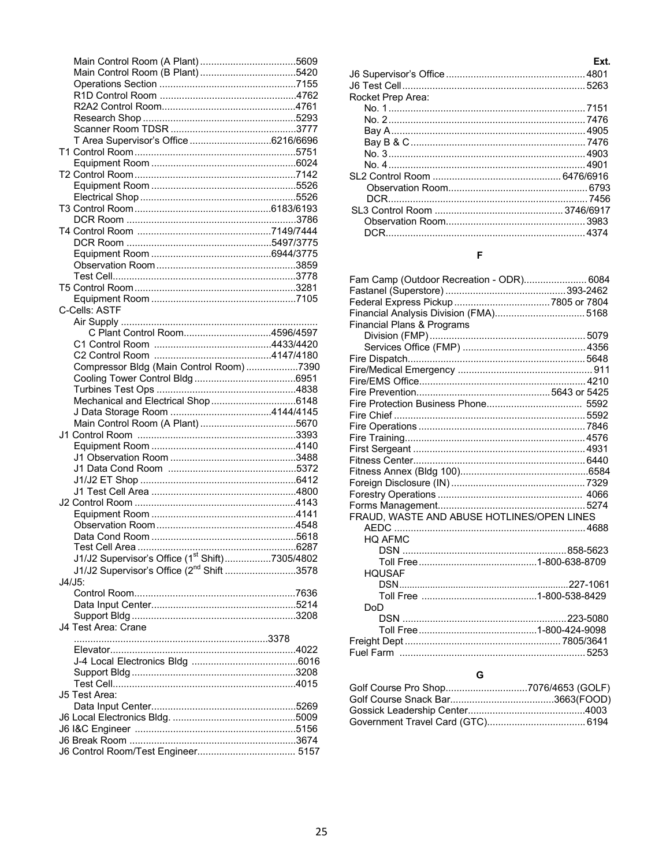| T Area Supervisor's Office 6216/6696                       |  |
|------------------------------------------------------------|--|
|                                                            |  |
|                                                            |  |
|                                                            |  |
|                                                            |  |
|                                                            |  |
|                                                            |  |
|                                                            |  |
|                                                            |  |
|                                                            |  |
|                                                            |  |
|                                                            |  |
|                                                            |  |
|                                                            |  |
|                                                            |  |
| C-Cells: ASTF                                              |  |
|                                                            |  |
| C Plant Control Room4596/4597                              |  |
|                                                            |  |
|                                                            |  |
| Compressor Bldg (Main Control Room)7390                    |  |
|                                                            |  |
|                                                            |  |
|                                                            |  |
|                                                            |  |
|                                                            |  |
|                                                            |  |
|                                                            |  |
|                                                            |  |
|                                                            |  |
|                                                            |  |
|                                                            |  |
|                                                            |  |
|                                                            |  |
|                                                            |  |
|                                                            |  |
| Test Cell Area                                             |  |
| J1/J2 Supervisor's Office (1 <sup>st</sup> Shift)7305/4802 |  |
| J1/J2 Supervisor's Office (2 <sup>nd</sup> Shift 3578      |  |
| $J4/J5$ :                                                  |  |
|                                                            |  |
|                                                            |  |
|                                                            |  |
|                                                            |  |
| J4 Test Area: Crane                                        |  |
|                                                            |  |
|                                                            |  |
|                                                            |  |
|                                                            |  |
|                                                            |  |
| J5 Test Area:                                              |  |
|                                                            |  |
|                                                            |  |
|                                                            |  |
|                                                            |  |

| 609  |                   | Ext. |
|------|-------------------|------|
| i420 |                   |      |
| 155  |                   |      |
| 1762 | Rocket Prep Area: |      |
| 761  |                   |      |
| ,293 |                   |      |
| 3777 |                   |      |
| 696; |                   |      |
| 5751 |                   |      |
| ነበ24 |                   |      |
| 142  |                   |      |
| 526  |                   |      |
| 526  |                   |      |
| 193  |                   |      |
| 3786 |                   |      |
| '444 |                   |      |

### $\bar{\mathsf{F}}$

| Fam Camp (Outdoor Recreation - ODR) 6084   |  |
|--------------------------------------------|--|
|                                            |  |
|                                            |  |
| Financial Analysis Division (FMA) 5168     |  |
| <b>Financial Plans &amp; Programs</b>      |  |
|                                            |  |
|                                            |  |
|                                            |  |
|                                            |  |
|                                            |  |
|                                            |  |
|                                            |  |
|                                            |  |
|                                            |  |
|                                            |  |
|                                            |  |
|                                            |  |
|                                            |  |
|                                            |  |
|                                            |  |
|                                            |  |
| FRAUD, WASTE AND ABUSE HOTLINES/OPEN LINES |  |
|                                            |  |
| <b>HQ AFMC</b>                             |  |
|                                            |  |
|                                            |  |
| <b>HOUSAF</b>                              |  |
|                                            |  |
|                                            |  |
| DoD                                        |  |
|                                            |  |
|                                            |  |
|                                            |  |
|                                            |  |
|                                            |  |
| G                                          |  |

| Golf Course Pro Shop7076/4653 (GOLF) |  |
|--------------------------------------|--|
|                                      |  |
|                                      |  |
|                                      |  |
|                                      |  |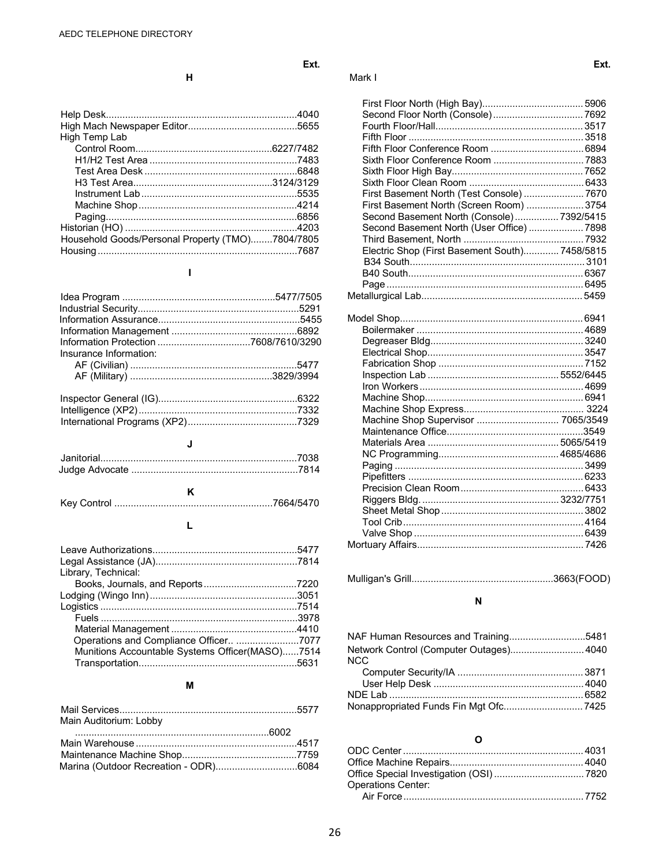| High Temp Lab                                    |  |
|--------------------------------------------------|--|
|                                                  |  |
|                                                  |  |
|                                                  |  |
|                                                  |  |
|                                                  |  |
|                                                  |  |
|                                                  |  |
|                                                  |  |
| Household Goods/Personal Property (TMO)7804/7805 |  |
|                                                  |  |

### **I**

| Insurance Information: |  |
|------------------------|--|
|                        |  |
|                        |  |
|                        |  |
|                        |  |
|                        |  |
|                        |  |
|                        |  |

### **J**

|--|--|

### **L**

| Library, Technical:                             |  |
|-------------------------------------------------|--|
|                                                 |  |
|                                                 |  |
|                                                 |  |
|                                                 |  |
|                                                 |  |
| Operations and Compliance Officer 7077          |  |
| Munitions Accountable Systems Officer(MASO)7514 |  |
|                                                 |  |

### **M**

| Main Auditorium: Lobby |  |
|------------------------|--|
|                        |  |
|                        |  |
|                        |  |
|                        |  |

| н | Mark I |
|---|--------|
|   |        |

| First Basement North (Test Console)  7670      |  |
|------------------------------------------------|--|
| First Basement North (Screen Room)  3754       |  |
| Second Basement North (Console) 7392/5415      |  |
| Second Basement North (User Office)  7898      |  |
|                                                |  |
| Electric Shop (First Basement South) 7458/5815 |  |
|                                                |  |
|                                                |  |
|                                                |  |
|                                                |  |
| Machine Shop Supervisor  7065/3549             |  |
|                                                |  |
|                                                |  |
|                                                |  |
|                                                |  |
|                                                |  |
|                                                |  |

|--|--|--|--|--|

### **N**

| NAF Human Resources and Training5481    |  |
|-----------------------------------------|--|
| Network Control (Computer Outages) 4040 |  |
| <b>NCC</b>                              |  |
|                                         |  |
|                                         |  |
|                                         |  |
|                                         |  |

### **O**

| <b>Operations Center:</b> |  |
|---------------------------|--|
|                           |  |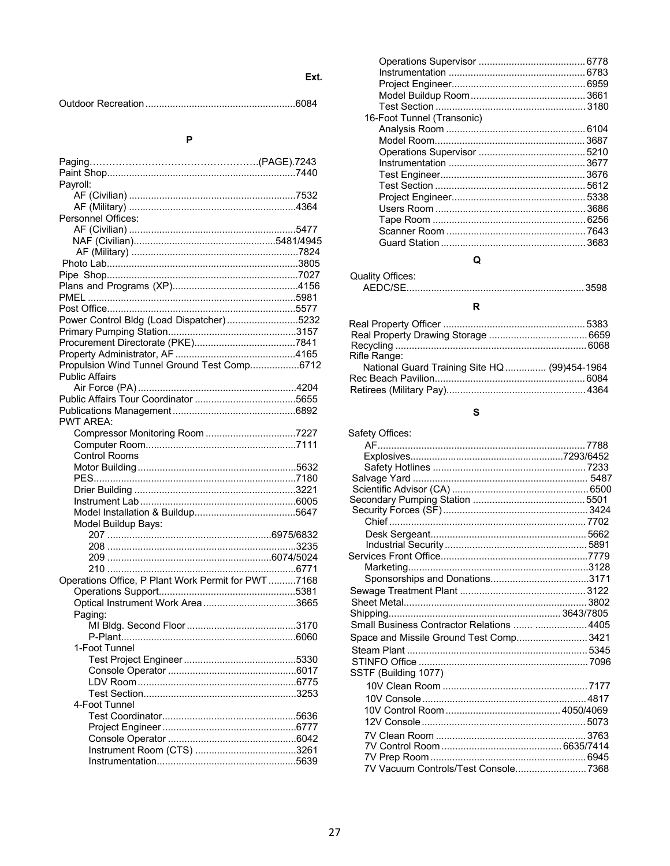Ext.

 $\mathsf{P}$ 

| Payroll:                                                             |  |
|----------------------------------------------------------------------|--|
|                                                                      |  |
| Personnel Offices:                                                   |  |
|                                                                      |  |
|                                                                      |  |
|                                                                      |  |
|                                                                      |  |
|                                                                      |  |
|                                                                      |  |
|                                                                      |  |
|                                                                      |  |
|                                                                      |  |
| Power Control Bldg (Load Dispatcher)5232                             |  |
|                                                                      |  |
|                                                                      |  |
|                                                                      |  |
| Propulsion Wind Tunnel Ground Test Comp6712<br><b>Public Affairs</b> |  |
|                                                                      |  |
|                                                                      |  |
|                                                                      |  |
| <b>PWT AREA:</b>                                                     |  |
|                                                                      |  |
|                                                                      |  |
| <b>Control Rooms</b>                                                 |  |
|                                                                      |  |
|                                                                      |  |
|                                                                      |  |
|                                                                      |  |
|                                                                      |  |
| Model Buildup Bays:                                                  |  |
|                                                                      |  |
|                                                                      |  |
|                                                                      |  |
| Operations Office, P Plant Work Permit for PWT 7168                  |  |
|                                                                      |  |
|                                                                      |  |
|                                                                      |  |
| Paging:                                                              |  |
|                                                                      |  |
| 1-Foot Tunnel                                                        |  |
|                                                                      |  |
|                                                                      |  |
|                                                                      |  |
|                                                                      |  |
| 4-Foot Tunnel                                                        |  |
|                                                                      |  |
|                                                                      |  |
|                                                                      |  |
|                                                                      |  |
|                                                                      |  |
|                                                                      |  |

| 16-Foot Tunnel (Transonic) |  |
|----------------------------|--|
|                            |  |
|                            |  |
|                            |  |
|                            |  |
|                            |  |
|                            |  |
|                            |  |
|                            |  |
|                            |  |
|                            |  |
|                            |  |

### $\overline{Q}$

| Quality Offices: |  |
|------------------|--|
| AFDC/SF.         |  |

### $\boldsymbol{\mathsf{R}}$

| Rifle Range:                                  |  |
|-----------------------------------------------|--|
| National Guard Training Site HQ  (99)454-1964 |  |
|                                               |  |
|                                               |  |

### $\mathbf{s}$

| Safety Offices:                            |  |
|--------------------------------------------|--|
|                                            |  |
|                                            |  |
|                                            |  |
|                                            |  |
|                                            |  |
|                                            |  |
|                                            |  |
|                                            |  |
|                                            |  |
|                                            |  |
|                                            |  |
|                                            |  |
|                                            |  |
|                                            |  |
|                                            |  |
|                                            |  |
| Small Business Contractor Relations   4405 |  |
| Space and Missile Ground Test Comp 3421    |  |
|                                            |  |
|                                            |  |
| SSTF (Building 1077)                       |  |
|                                            |  |
|                                            |  |
|                                            |  |
|                                            |  |
|                                            |  |
|                                            |  |
|                                            |  |
| 7V Vacuum Controls/Test Console7368        |  |
|                                            |  |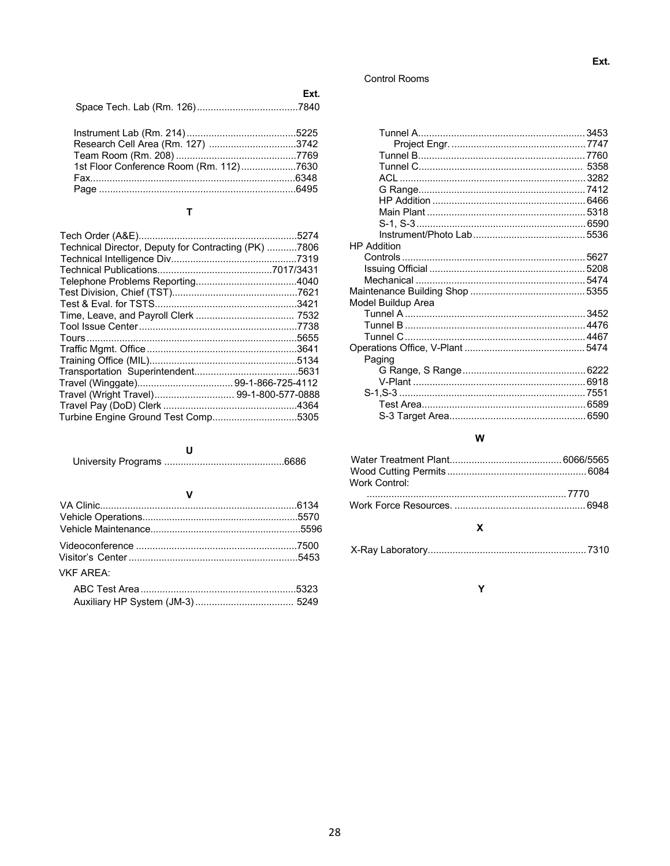### **Control Rooms**

| Ext. |
|------|
|      |

| Research Cell Area (Rm. 127) 3742       |  |
|-----------------------------------------|--|
|                                         |  |
| 1st Floor Conference Room (Rm. 112)7630 |  |
|                                         |  |
|                                         |  |
|                                         |  |

### $\mathbf T$

| Technical Director, Deputy for Contracting (PK) 7806 |  |
|------------------------------------------------------|--|
|                                                      |  |
|                                                      |  |
|                                                      |  |
|                                                      |  |
|                                                      |  |
|                                                      |  |
|                                                      |  |
|                                                      |  |
|                                                      |  |
|                                                      |  |
|                                                      |  |
|                                                      |  |
| Travel (Wright Travel) 99-1-800-577-0888             |  |
|                                                      |  |
| Turbine Engine Ground Test Comp5305                  |  |
|                                                      |  |

### $\pmb{\mathsf{V}}$

| <b>VKF ARFA:</b> |  |
|------------------|--|
|                  |  |
|                  |  |
|                  |  |

| <b>HP</b> Addition |  |
|--------------------|--|
|                    |  |
|                    |  |
|                    |  |
|                    |  |
| Model Buildup Area |  |
|                    |  |
|                    |  |
|                    |  |
|                    |  |
| Paging             |  |
|                    |  |
|                    |  |
|                    |  |
|                    |  |
|                    |  |

### ${\bf W}$

| Work Control: |  |
|---------------|--|
|               |  |
|               |  |
|               |  |

### Y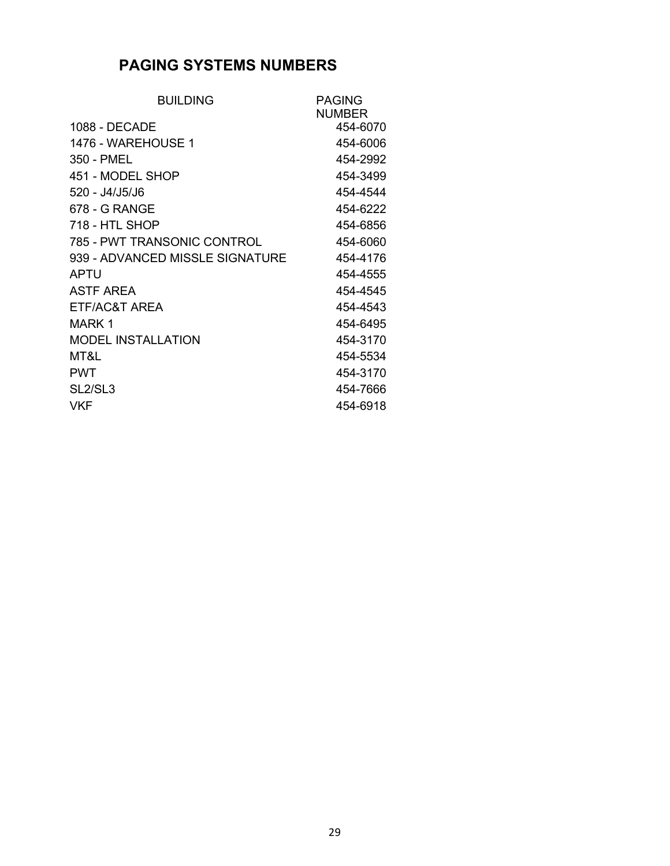### **PAGING SYSTEMS NUMBERS**

| <b>BUILDING</b>                  | <b>PAGING</b> |
|----------------------------------|---------------|
|                                  | <b>NUMBER</b> |
| 1088 - DECADE                    | 454-6070      |
| 1476 - WAREHOUSE 1               | 454-6006      |
| 350 - PMEL                       | 454-2992      |
| 451 - MODEL SHOP                 | 454-3499      |
| 520 - J4/J5/J6                   | 454-4544      |
| 678 - G RANGE                    | 454-6222      |
| 718 - HTL SHOP                   | 454-6856      |
| 785 - PWT TRANSONIC CONTROL      | 454-6060      |
| 939 - ADVANCED MISSLE SIGNATURE  | 454-4176      |
| APTU                             | 454-4555      |
| <b>ASTF AREA</b>                 | 454-4545      |
| ETF/AC&T AREA                    | 454-4543      |
| MARK 1                           | 454-6495      |
| <b>MODEL INSTALLATION</b>        | 454-3170      |
| MT&L                             | 454-5534      |
| <b>PWT</b>                       | 454-3170      |
| SL <sub>2</sub> /SL <sub>3</sub> | 454-7666      |
| <b>VKF</b>                       | 454-6918      |